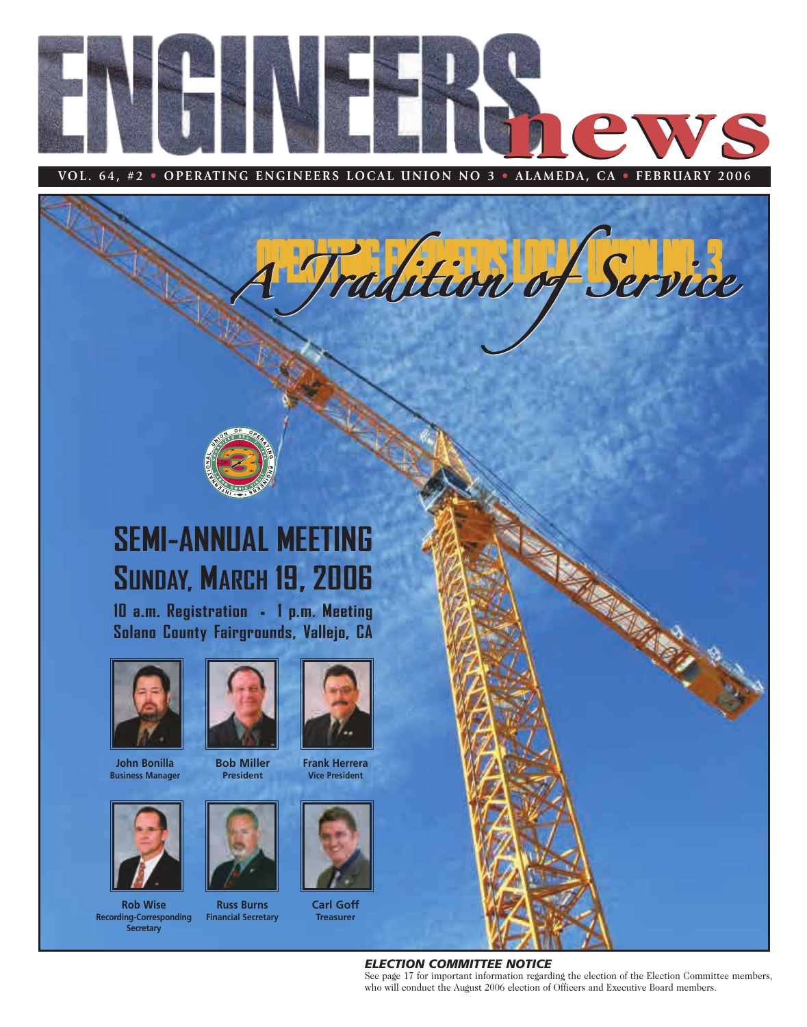

 $\frac{1}{2}$ 



# **SEMI-ANNUAL MEETING SUNDAY, MARCH 19, 2006**

**10 a.m. Registration • 1 p.m. Meeting Solano County Fairgrounds, Vallejo, CA**



**John Bonilla Business Manager**



**Rob Wise Recording-Corresponding Secretary**



**Bob Miller President**



**Russ Burns Financial Secretary**



**Frank Herrera Vice President**



**Carl Goff Treasurer**



### *ELECTION COMMITTEE NOTICE*

See page 17 for important information regarding the election of the Election Committee members, who will conduct the August 2006 election of Officers and Executive Board members.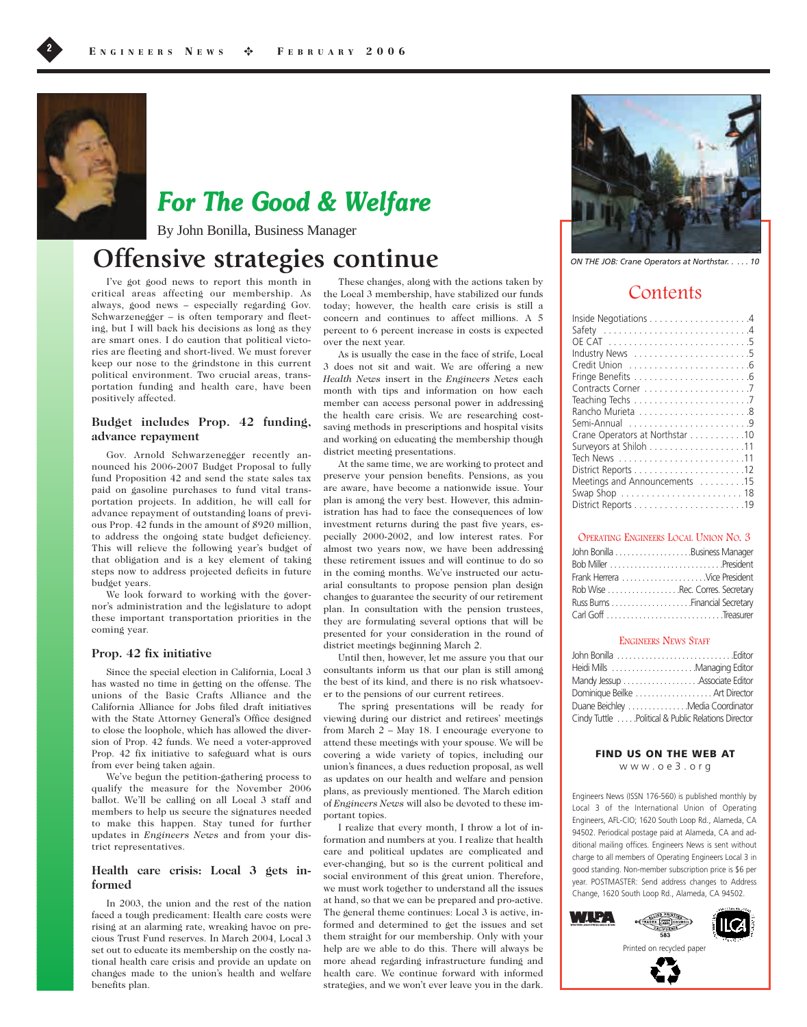

# **For The Good & Welfare**

By John Bonilla, Business Manager

# Offensive strategies continue *ON THE JOB: Crane Operators at Northstar. . . . . 10*

I've got good news to report this month in critical areas affecting our membership. As always, good news – especially regarding Gov. Schwarzenegger – is often temporary and fleeting, but I will back his decisions as long as they are smart ones. I do caution that political victories are fleeting and short-lived. We must forever keep our nose to the grindstone in this current political environment. Two crucial areas, transportation funding and health care, have been positively affected.

#### **Budget includes Prop. 42 funding, advance repayment**

Gov. Arnold Schwarzenegger recently announced his 2006-2007 Budget Proposal to fully fund Proposition 42 and send the state sales tax paid on gasoline purchases to fund vital transportation projects. In addition, he will call for advance repayment of outstanding loans of previous Prop. 42 funds in the amount of \$920 million, to address the ongoing state budget deficiency. This will relieve the following year's budget of that obligation and is a key element of taking steps now to address projected deficits in future budget years.

We look forward to working with the governor's administration and the legislature to adopt these important transportation priorities in the coming year.

#### **Prop. 42 fix initiative**

Since the special election in California, Local 3 has wasted no time in getting on the offense. The unions of the Basic Crafts Alliance and the California Alliance for Jobs filed draft initiatives with the State Attorney General's Office designed to close the loophole, which has allowed the diversion of Prop. 42 funds. We need a voter-approved Prop. 42 fix initiative to safeguard what is ours from ever being taken again.

We've begun the petition-gathering process to qualify the measure for the November 2006 ballot. We'll be calling on all Local 3 staff and members to help us secure the signatures needed to make this happen. Stay tuned for further updates in *Engineers News* and from your district representatives.

#### **Health care crisis: Local 3 gets informed**

In 2003, the union and the rest of the nation faced a tough predicament: Health care costs were rising at an alarming rate, wreaking havoc on precious Trust Fund reserves. In March 2004, Local 3 set out to educate its membership on the costly national health care crisis and provide an update on changes made to the union's health and welfare benefits plan.

These changes, along with the actions taken by the Local 3 membership, have stabilized our funds today; however, the health care crisis is still a concern and continues to affect millions. A 5 percent to 6 percent increase in costs is expected over the next year.

As is usually the case in the face of strife, Local 3 does not sit and wait. We are offering a new *Health News* insert in the *Engineers News* each month with tips and information on how each member can access personal power in addressing the health care crisis. We are researching costsaving methods in prescriptions and hospital visits and working on educating the membership though district meeting presentations.

At the same time, we are working to protect and preserve your pension benefits. Pensions, as you are aware, have become a nationwide issue. Your plan is among the very best. However, this administration has had to face the consequences of low investment returns during the past five years, especially 2000-2002, and low interest rates. For almost two years now, we have been addressing these retirement issues and will continue to do so in the coming months. We've instructed our actuarial consultants to propose pension plan design changes to guarantee the security of our retirement plan. In consultation with the pension trustees, they are formulating several options that will be presented for your consideration in the round of district meetings beginning March 2.

Until then, however, let me assure you that our consultants inform us that our plan is still among the best of its kind, and there is no risk whatsoever to the pensions of our current retirees.

The spring presentations will be ready for viewing during our district and retirees' meetings from March 2 – May 18. I encourage everyone to attend these meetings with your spouse. We will be covering a wide variety of topics, including our union's finances, a dues reduction proposal, as well as updates on our health and welfare and pension plans, as previously mentioned. The March edition of *Engineers News* will also be devoted to these important topics.

I realize that every month, I throw a lot of information and numbers at you. I realize that health care and political updates are complicated and ever-changing, but so is the current political and social environment of this great union. Therefore, we must work together to understand all the issues at hand, so that we can be prepared and pro-active. The general theme continues: Local 3 is active, informed and determined to get the issues and set them straight for our membership. Only with your help are we able to do this. There will always be more ahead regarding infrastructure funding and health care. We continue forward with informed strategies, and we won't ever leave you in the dark.



## **Contents**

| Industry News 5                 |
|---------------------------------|
|                                 |
|                                 |
|                                 |
|                                 |
|                                 |
|                                 |
| Crane Operators at Northstar 10 |
|                                 |
|                                 |
|                                 |
| Meetings and Announcements 15   |
|                                 |
|                                 |

#### OPERATING ENGINEERS LOCAL UNION NO. 3

| Frank Herrera Vice President    |
|---------------------------------|
| Rob Wise Rec. Corres. Secretary |
|                                 |
|                                 |
|                                 |

#### ENGINEERS NEWS STAFF

| Heidi Mills Managing Editor                        |  |
|----------------------------------------------------|--|
| Mandy Jessup Associate Editor                      |  |
| Dominique Beilke  Art Director                     |  |
| Duane Beichley Media Coordinator                   |  |
| Cindy Tuttle Political & Public Relations Director |  |

FIND US ON THE WEB AT www.oe3.org

Engineers News (ISSN 176-560) is published monthly by Local 3 of the International Union of Operating Engineers, AFL-CIO; 1620 South Loop Rd., Alameda, CA 94502. Periodical postage paid at Alameda, CA and additional mailing offices. Engineers News is sent without charge to all members of Operating Engineers Local 3 in good standing. Non-member subscription price is \$6 per year. POSTMASTER: Send address changes to Address Change, 1620 South Loop Rd., Alameda, CA 94502.

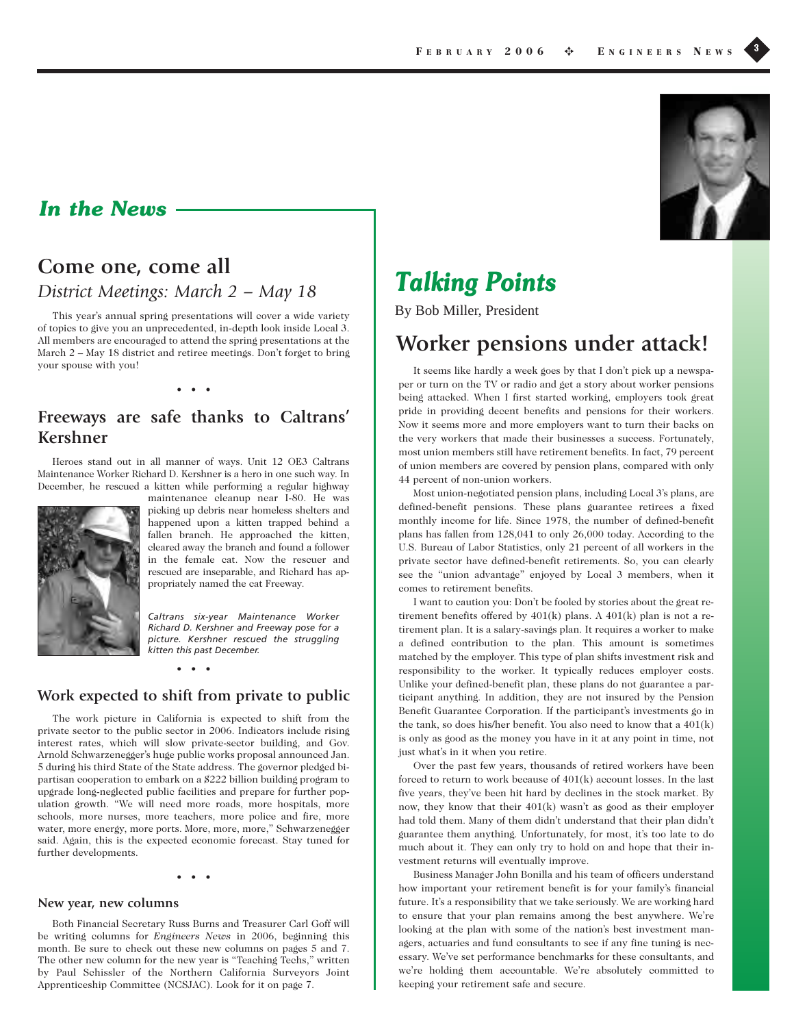## **In the News**

# **Come one, come all**

*District Meetings: March 2 – May 18*

This year's annual spring presentations will cover a wide variety of topics to give you an unprecedented, in-depth look inside Local 3. All members are encouraged to attend the spring presentations at the March 2 – May 18 district and retiree meetings. Don't forget to bring your spouse with you!

• • •

## **Freeways are safe thanks to Caltrans' Kershner**

Heroes stand out in all manner of ways. Unit 12 OE3 Caltrans Maintenance Worker Richard D. Kershner is a hero in one such way. In December, he rescued a kitten while performing a regular highway



maintenance cleanup near I-80. He was picking up debris near homeless shelters and happened upon a kitten trapped behind a fallen branch. He approached the kitten, cleared away the branch and found a follower in the female cat. Now the rescuer and rescued are inseparable, and Richard has appropriately named the cat Freeway.

*Caltrans six-year Maintenance Worker Richard D. Kershner and Freeway pose for a picture. Kershner rescued the struggling kitten this past December.*

• • •

## **Work expected to shift from private to public**

The work picture in California is expected to shift from the private sector to the public sector in 2006. Indicators include rising interest rates, which will slow private-sector building, and Gov. Arnold Schwarzenegger's huge public works proposal announced Jan. 5 during his third State of the State address. The governor pledged bipartisan cooperation to embark on a \$222 billion building program to upgrade long-neglected public facilities and prepare for further population growth. "We will need more roads, more hospitals, more schools, more nurses, more teachers, more police and fire, more water, more energy, more ports. More, more, more," Schwarzenegger said. Again, this is the expected economic forecast. Stay tuned for further developments.

#### • • •

#### **New year, new columns**

Both Financial Secretary Russ Burns and Treasurer Carl Goff will be writing columns for *Engineers News* in 2006, beginning this month. Be sure to check out these new columns on pages 5 and 7. The other new column for the new year is "Teaching Techs," written by Paul Schissler of the Northern California Surveyors Joint Apprenticeship Committee (NCSJAC). Look for it on page 7.



By Bob Miller, President

# **Worker pensions under attack!**

It seems like hardly a week goes by that I don't pick up a newspaper or turn on the TV or radio and get a story about worker pensions being attacked. When I first started working, employers took great pride in providing decent benefits and pensions for their workers. Now it seems more and more employers want to turn their backs on the very workers that made their businesses a success. Fortunately, most union members still have retirement benefits. In fact, 79 percent of union members are covered by pension plans, compared with only 44 percent of non-union workers.

Most union-negotiated pension plans, including Local 3's plans, are defined-benefit pensions. These plans guarantee retirees a fixed monthly income for life. Since 1978, the number of defined-benefit plans has fallen from 128,041 to only 26,000 today. According to the U.S. Bureau of Labor Statistics, only 21 percent of all workers in the private sector have defined-benefit retirements. So, you can clearly see the "union advantage" enjoyed by Local 3 members, when it comes to retirement benefits.

I want to caution you: Don't be fooled by stories about the great retirement benefits offered by 401(k) plans. A 401(k) plan is not a retirement plan. It is a salary-savings plan. It requires a worker to make a defined contribution to the plan. This amount is sometimes matched by the employer. This type of plan shifts investment risk and responsibility to the worker. It typically reduces employer costs. Unlike your defined-benefit plan, these plans do not guarantee a participant anything. In addition, they are not insured by the Pension Benefit Guarantee Corporation. If the participant's investments go in the tank, so does his/her benefit. You also need to know that a 401(k) is only as good as the money you have in it at any point in time, not just what's in it when you retire.

Over the past few years, thousands of retired workers have been forced to return to work because of  $401(k)$  account losses. In the last five years, they've been hit hard by declines in the stock market. By now, they know that their 401(k) wasn't as good as their employer had told them. Many of them didn't understand that their plan didn't guarantee them anything. Unfortunately, for most, it's too late to do much about it. They can only try to hold on and hope that their investment returns will eventually improve.

Business Manager John Bonilla and his team of officers understand how important your retirement benefit is for your family's financial future. It's a responsibility that we take seriously. We are working hard to ensure that your plan remains among the best anywhere. We're looking at the plan with some of the nation's best investment managers, actuaries and fund consultants to see if any fine tuning is necessary. We've set performance benchmarks for these consultants, and we're holding them accountable. We're absolutely committed to keeping your retirement safe and secure.

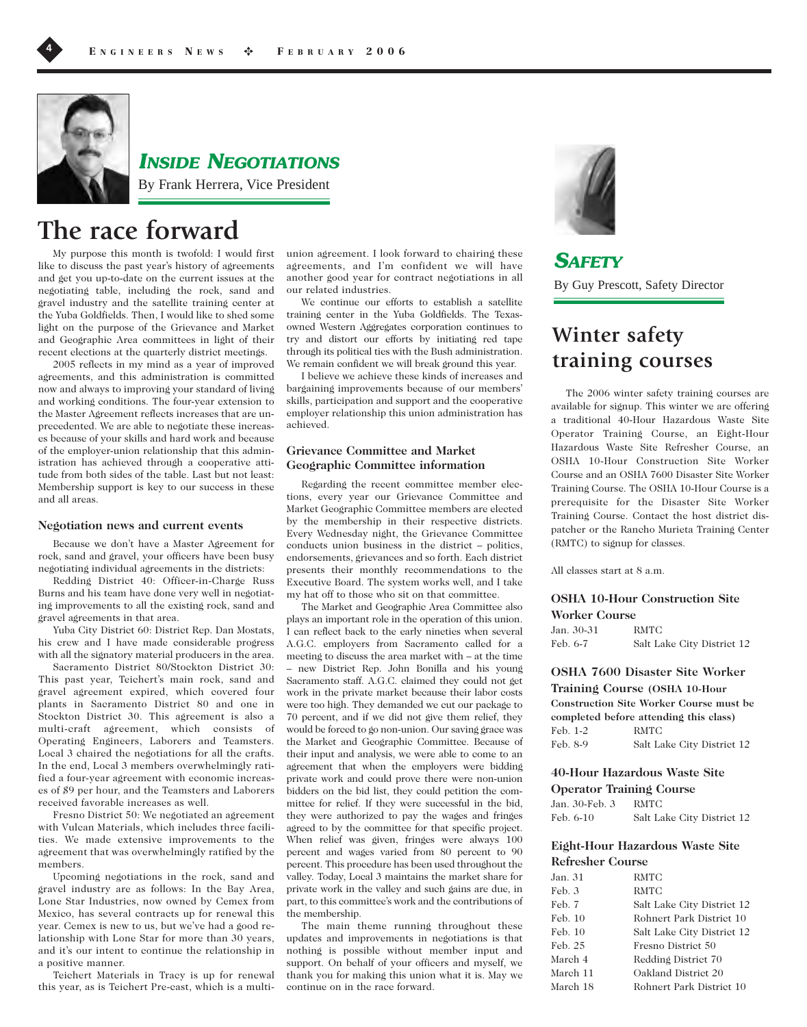

## **INSIDE NEGOTIATIONS**

By Frank Herrera, Vice President

# **The race forward**

My purpose this month is twofold: I would first like to discuss the past year's history of agreements and get you up-to-date on the current issues at the negotiating table, including the rock, sand and gravel industry and the satellite training center at the Yuba Goldfields. Then, I would like to shed some light on the purpose of the Grievance and Market and Geographic Area committees in light of their recent elections at the quarterly district meetings.

2005 reflects in my mind as a year of improved agreements, and this administration is committed now and always to improving your standard of living and working conditions. The four-year extension to the Master Agreement reflects increases that are unprecedented. We are able to negotiate these increases because of your skills and hard work and because of the employer-union relationship that this administration has achieved through a cooperative attitude from both sides of the table. Last but not least: Membership support is key to our success in these and all areas.

#### **Negotiation news and current events**

Because we don't have a Master Agreement for rock, sand and gravel, your officers have been busy negotiating individual agreements in the districts:

Redding District 40: Officer-in-Charge Russ Burns and his team have done very well in negotiating improvements to all the existing rock, sand and gravel agreements in that area.

Yuba City District 60: District Rep. Dan Mostats, his crew and I have made considerable progress with all the signatory material producers in the area.

Sacramento District 80/Stockton District 30: This past year, Teichert's main rock, sand and gravel agreement expired, which covered four plants in Sacramento District 80 and one in Stockton District 30. This agreement is also a multi-craft agreement, which consists of Operating Engineers, Laborers and Teamsters. Local 3 chaired the negotiations for all the crafts. In the end, Local 3 members overwhelmingly ratified a four-year agreement with economic increases of \$9 per hour, and the Teamsters and Laborers received favorable increases as well.

Fresno District 50: We negotiated an agreement with Vulcan Materials, which includes three facilities. We made extensive improvements to the agreement that was overwhelmingly ratified by the members.

Upcoming negotiations in the rock, sand and gravel industry are as follows: In the Bay Area, Lone Star Industries, now owned by Cemex from Mexico, has several contracts up for renewal this year. Cemex is new to us, but we've had a good relationship with Lone Star for more than 30 years, and it's our intent to continue the relationship in a positive manner.

Teichert Materials in Tracy is up for renewal this year, as is Teichert Pre-cast, which is a multi-

union agreement. I look forward to chairing these agreements, and I'm confident we will have another good year for contract negotiations in all our related industries.

We continue our efforts to establish a satellite training center in the Yuba Goldfields. The Texasowned Western Aggregates corporation continues to try and distort our efforts by initiating red tape through its political ties with the Bush administration. We remain confident we will break ground this year.

I believe we achieve these kinds of increases and bargaining improvements because of our members' skills, participation and support and the cooperative employer relationship this union administration has achieved.

## **Grievance Committee and Market Geographic Committee information**

Regarding the recent committee member elections, every year our Grievance Committee and Market Geographic Committee members are elected by the membership in their respective districts. Every Wednesday night, the Grievance Committee conducts union business in the district – politics, endorsements, grievances and so forth. Each district presents their monthly recommendations to the Executive Board. The system works well, and I take my hat off to those who sit on that committee.

The Market and Geographic Area Committee also plays an important role in the operation of this union. I can reflect back to the early nineties when several A.G.C. employers from Sacramento called for a meeting to discuss the area market with – at the time – new District Rep. John Bonilla and his young Sacramento staff. A.G.C. claimed they could not get work in the private market because their labor costs were too high. They demanded we cut our package to 70 percent, and if we did not give them relief, they would be forced to go non-union. Our saving grace was the Market and Geographic Committee. Because of their input and analysis, we were able to come to an agreement that when the employers were bidding private work and could prove there were non-union bidders on the bid list, they could petition the committee for relief. If they were successful in the bid, they were authorized to pay the wages and fringes agreed to by the committee for that specific project. When relief was given, fringes were always 100 percent and wages varied from 80 percent to 90 percent. This procedure has been used throughout the valley. Today, Local 3 maintains the market share for private work in the valley and such gains are due, in part, to this committee's work and the contributions of the membership.

The main theme running throughout these updates and improvements in negotiations is that nothing is possible without member input and support. On behalf of your officers and myself, we thank you for making this union what it is. May we continue on in the race forward.



**SAFETY** By Guy Prescott, Safety Director

# **Winter safety training courses**

The 2006 winter safety training courses are available for signup. This winter we are offering a traditional 40-Hour Hazardous Waste Site Operator Training Course, an Eight-Hour Hazardous Waste Site Refresher Course, an OSHA 10-Hour Construction Site Worker Course and an OSHA 7600 Disaster Site Worker Training Course. The OSHA 10-Hour Course is a prerequisite for the Disaster Site Worker Training Course. Contact the host district dispatcher or the Rancho Murieta Training Center (RMTC) to signup for classes.

All classes start at 8 a.m.

#### **OSHA 10-Hour Construction Site Worker Course**

Jan. 30-31 RMTC Feb. 6-7 Salt Lake City District 12

## **OSHA 7600 Disaster Site Worker Training Course (OSHA 10-Hour Construction Site Worker Course must be completed before attending this class)**  Feb. 1-2 RMTC Feb. 8-9 Salt Lake City District 12

### **40-Hour Hazardous Waste Site Operator Training Course**

Jan. 30-Feb. 3 RMTC

Feb. 6-10 Salt Lake City District 12

### **Eight-Hour Hazardous Waste Site Refresher Course**

| Jan. 31  | RMTC                       |
|----------|----------------------------|
| Feb. 3   | RMTC                       |
| Feb. 7   | Salt Lake City District 12 |
| Feb. 10  | Rohnert Park District 10   |
| Feb. 10  | Salt Lake City District 12 |
| Feb. 25  | Fresno District 50         |
| March 4  | Redding District 70        |
| March 11 | Oakland District 20        |
| March 18 | Rohnert Park District 10   |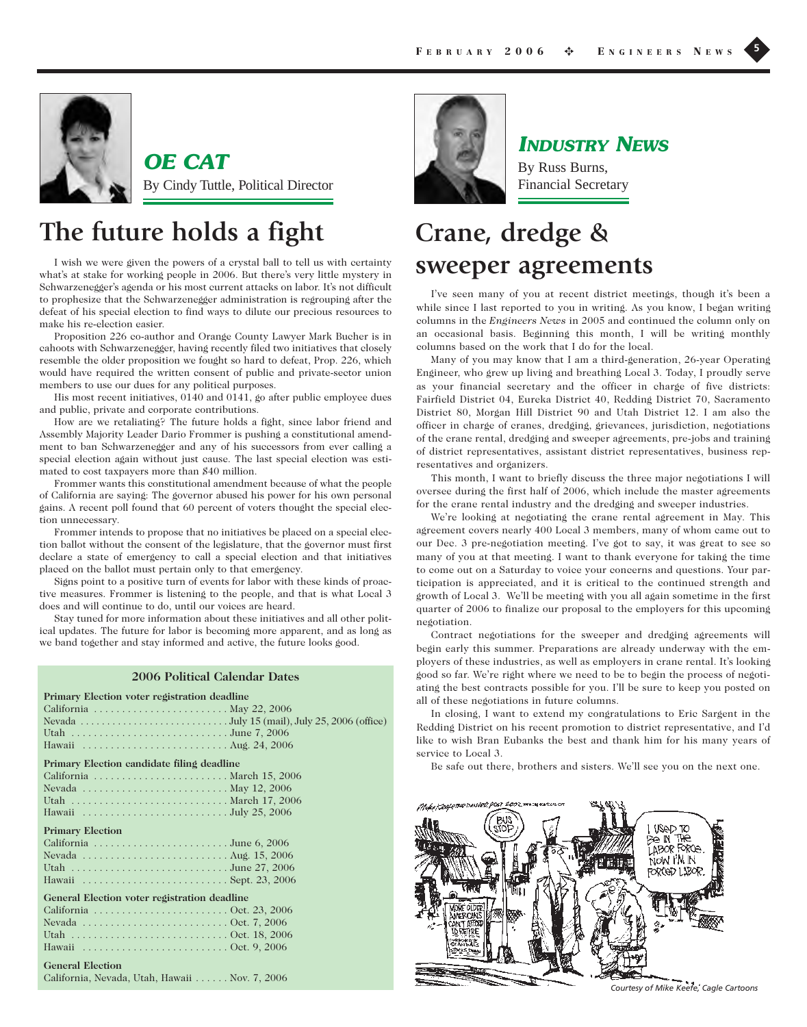

**OE CAT** By Cindy Tuttle, Political Director

# **The future holds a fight**

I wish we were given the powers of a crystal ball to tell us with certainty what's at stake for working people in 2006. But there's very little mystery in Schwarzenegger's agenda or his most current attacks on labor. It's not difficult to prophesize that the Schwarzenegger administration is regrouping after the defeat of his special election to find ways to dilute our precious resources to make his re-election easier.

Proposition 226 co-author and Orange County Lawyer Mark Bucher is in cahoots with Schwarzenegger, having recently filed two initiatives that closely resemble the older proposition we fought so hard to defeat, Prop. 226, which would have required the written consent of public and private-sector union members to use our dues for any political purposes.

His most recent initiatives, 0140 and 0141, go after public employee dues and public, private and corporate contributions.

How are we retaliating? The future holds a fight, since labor friend and Assembly Majority Leader Dario Frommer is pushing a constitutional amendment to ban Schwarzenegger and any of his successors from ever calling a special election again without just cause. The last special election was estimated to cost taxpayers more than \$40 million.

Frommer wants this constitutional amendment because of what the people of California are saying: The governor abused his power for his own personal gains. A recent poll found that 60 percent of voters thought the special election unnecessary.

Frommer intends to propose that no initiatives be placed on a special election ballot without the consent of the legislature, that the governor must first declare a state of emergency to call a special election and that initiatives placed on the ballot must pertain only to that emergency.

Signs point to a positive turn of events for labor with these kinds of proactive measures. Frommer is listening to the people, and that is what Local 3 does and will continue to do, until our voices are heard.

Stay tuned for more information about these initiatives and all other political updates. The future for labor is becoming more apparent, and as long as we band together and stay informed and active, the future looks good.

#### **2006 Political Calendar Dates**

| Primary Election voter registration deadline                                                                                   |  |
|--------------------------------------------------------------------------------------------------------------------------------|--|
|                                                                                                                                |  |
| Nevada $\ldots$ $\ldots$ $\ldots$ $\ldots$ $\ldots$ $\ldots$ $\ldots$ $\ldots$ $\ldots$ July 15 (mail), July 25, 2006 (office) |  |
|                                                                                                                                |  |
|                                                                                                                                |  |
| Primary Election candidate filing deadline                                                                                     |  |
|                                                                                                                                |  |
|                                                                                                                                |  |
|                                                                                                                                |  |
|                                                                                                                                |  |
| <b>Primary Election</b>                                                                                                        |  |
|                                                                                                                                |  |
| Nevada $\ldots \ldots \ldots \ldots \ldots \ldots \ldots \ldots$ . Aug. 15, 2006                                               |  |
| Utah June 27, 2006                                                                                                             |  |
|                                                                                                                                |  |
| General Election voter registration deadline                                                                                   |  |
|                                                                                                                                |  |
|                                                                                                                                |  |
|                                                                                                                                |  |
| Hawaii $\ldots \ldots \ldots \ldots \ldots \ldots \ldots \ldots \ldots \ldots$ Oct. 9, 2006                                    |  |
| <b>General Election</b>                                                                                                        |  |
| California, Nevada, Utah, Hawaii Nov. 7, 2006                                                                                  |  |



# **INDUSTRY NEWS**

By Russ Burns, Financial Secretary

# **Crane, dredge & sweeper agreements**

I've seen many of you at recent district meetings, though it's been a while since I last reported to you in writing. As you know, I began writing columns in the *Engineers News* in 2005 and continued the column only on an occasional basis. Beginning this month, I will be writing monthly columns based on the work that I do for the local.

Many of you may know that I am a third-generation, 26-year Operating Engineer, who grew up living and breathing Local 3. Today, I proudly serve as your financial secretary and the officer in charge of five districts: Fairfield District 04, Eureka District 40, Redding District 70, Sacramento District 80, Morgan Hill District 90 and Utah District 12. I am also the officer in charge of cranes, dredging, grievances, jurisdiction, negotiations of the crane rental, dredging and sweeper agreements, pre-jobs and training of district representatives, assistant district representatives, business representatives and organizers.

This month, I want to briefly discuss the three major negotiations I will oversee during the first half of 2006, which include the master agreements for the crane rental industry and the dredging and sweeper industries.

We're looking at negotiating the crane rental agreement in May. This agreement covers nearly 400 Local 3 members, many of whom came out to our Dec. 3 pre-negotiation meeting. I've got to say, it was great to see so many of you at that meeting. I want to thank everyone for taking the time to come out on a Saturday to voice your concerns and questions. Your participation is appreciated, and it is critical to the continued strength and growth of Local 3. We'll be meeting with you all again sometime in the first quarter of 2006 to finalize our proposal to the employers for this upcoming negotiation.

Contract negotiations for the sweeper and dredging agreements will begin early this summer. Preparations are already underway with the employers of these industries, as well as employers in crane rental. It's looking good so far. We're right where we need to be to begin the process of negotiating the best contracts possible for you. I'll be sure to keep you posted on all of these negotiations in future columns.

In closing, I want to extend my congratulations to Eric Sargent in the Redding District on his recent promotion to district representative, and I'd like to wish Bran Eubanks the best and thank him for his many years of service to Local 3.

Be safe out there, brothers and sisters. We'll see you on the next one.



*Courtesy of Mike Keefe, Cagle Cartoons*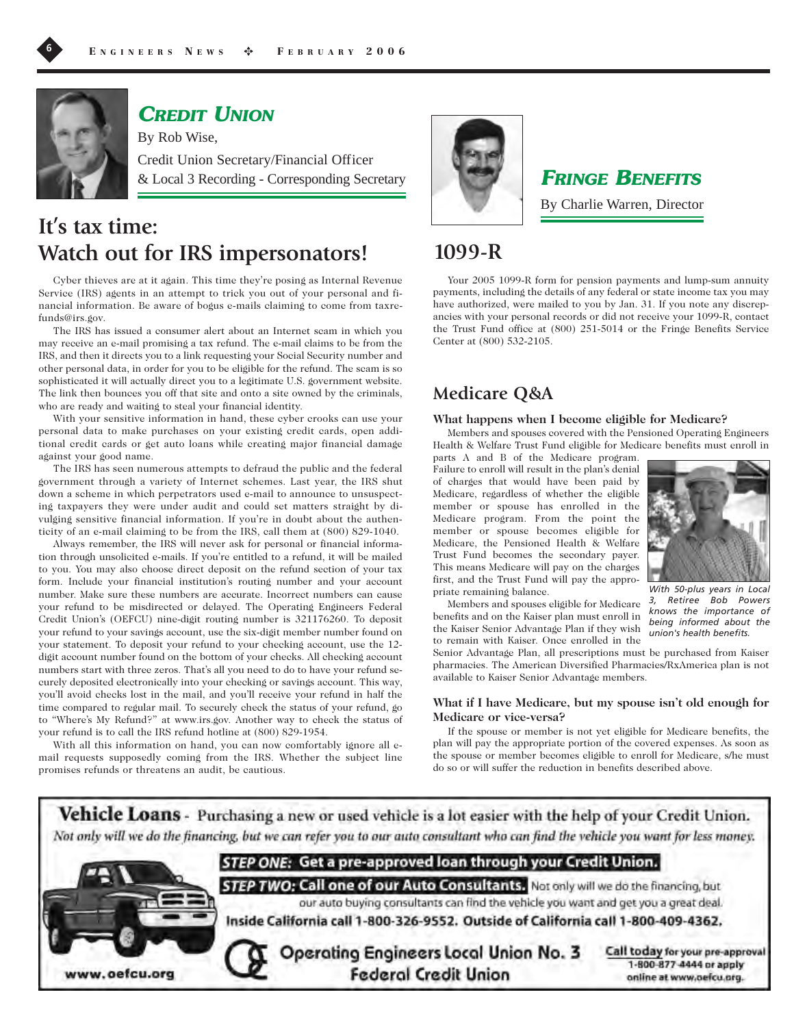

**CREDIT UNION**

By Rob Wise, Credit Union Secretary/Financial Officer & Local 3 Recording - Corresponding Secretary

# **It's tax time: Watch out for IRS impersonators!**

Cyber thieves are at it again. This time they're posing as Internal Revenue Service (IRS) agents in an attempt to trick you out of your personal and financial information. Be aware of bogus e-mails claiming to come from taxrefunds@irs.gov.

The IRS has issued a consumer alert about an Internet scam in which you may receive an e-mail promising a tax refund. The e-mail claims to be from the IRS, and then it directs you to a link requesting your Social Security number and other personal data, in order for you to be eligible for the refund. The scam is so sophisticated it will actually direct you to a legitimate U.S. government website. The link then bounces you off that site and onto a site owned by the criminals, who are ready and waiting to steal your financial identity.

With your sensitive information in hand, these cyber crooks can use your personal data to make purchases on your existing credit cards, open additional credit cards or get auto loans while creating major financial damage against your good name.

The IRS has seen numerous attempts to defraud the public and the federal government through a variety of Internet schemes. Last year, the IRS shut down a scheme in which perpetrators used e-mail to announce to unsuspecting taxpayers they were under audit and could set matters straight by divulging sensitive financial information. If you're in doubt about the authenticity of an e-mail claiming to be from the IRS, call them at (800) 829-1040.

Always remember, the IRS will never ask for personal or financial information through unsolicited e-mails. If you're entitled to a refund, it will be mailed to you. You may also choose direct deposit on the refund section of your tax form. Include your financial institution's routing number and your account number. Make sure these numbers are accurate. Incorrect numbers can cause your refund to be misdirected or delayed. The Operating Engineers Federal Credit Union's (OEFCU) nine-digit routing number is 321176260. To deposit your refund to your savings account, use the six-digit member number found on your statement. To deposit your refund to your checking account, use the 12 digit account number found on the bottom of your checks. All checking account numbers start with three zeros. That's all you need to do to have your refund securely deposited electronically into your checking or savings account. This way, you'll avoid checks lost in the mail, and you'll receive your refund in half the time compared to regular mail. To securely check the status of your refund, go to "Where's My Refund?" at www.irs.gov. Another way to check the status of your refund is to call the IRS refund hotline at (800) 829-1954.

With all this information on hand, you can now comfortably ignore all email requests supposedly coming from the IRS. Whether the subject line promises refunds or threatens an audit, be cautious.



**FRINGE BENEFITS**

By Charlie Warren, Director

## **1099-R**

Your 2005 1099-R form for pension payments and lump-sum annuity payments, including the details of any federal or state income tax you may have authorized, were mailed to you by Jan. 31. If you note any discrepancies with your personal records or did not receive your 1099-R, contact the Trust Fund office at (800) 251-5014 or the Fringe Benefits Service Center at (800) 532-2105.

## **Medicare Q&A**

#### **What happens when I become eligible for Medicare?**

Members and spouses covered with the Pensioned Operating Engineers Health & Welfare Trust Fund eligible for Medicare benefits must enroll in

parts A and B of the Medicare program. Failure to enroll will result in the plan's denial of charges that would have been paid by Medicare, regardless of whether the eligible member or spouse has enrolled in the Medicare program. From the point the member or spouse becomes eligible for Medicare, the Pensioned Health & Welfare Trust Fund becomes the secondary payer. This means Medicare will pay on the charges first, and the Trust Fund will pay the appropriate remaining balance.

Members and spouses eligible for Medicare benefits and on the Kaiser plan must enroll in the Kaiser Senior Advantage Plan if they wish to remain with Kaiser. Once enrolled in the



*With 50-plus years in Local 3, Retiree Bob Powers knows the importance of being informed about the union's health benefits.* 

Senior Advantage Plan, all prescriptions must be purchased from Kaiser pharmacies. The American Diversified Pharmacies/RxAmerica plan is not available to Kaiser Senior Advantage members.

#### **What if I have Medicare, but my spouse isn't old enough for Medicare or vice-versa?**

If the spouse or member is not yet eligible for Medicare benefits, the plan will pay the appropriate portion of the covered expenses. As soon as the spouse or member becomes eligible to enroll for Medicare, s/he must do so or will suffer the reduction in benefits described above.

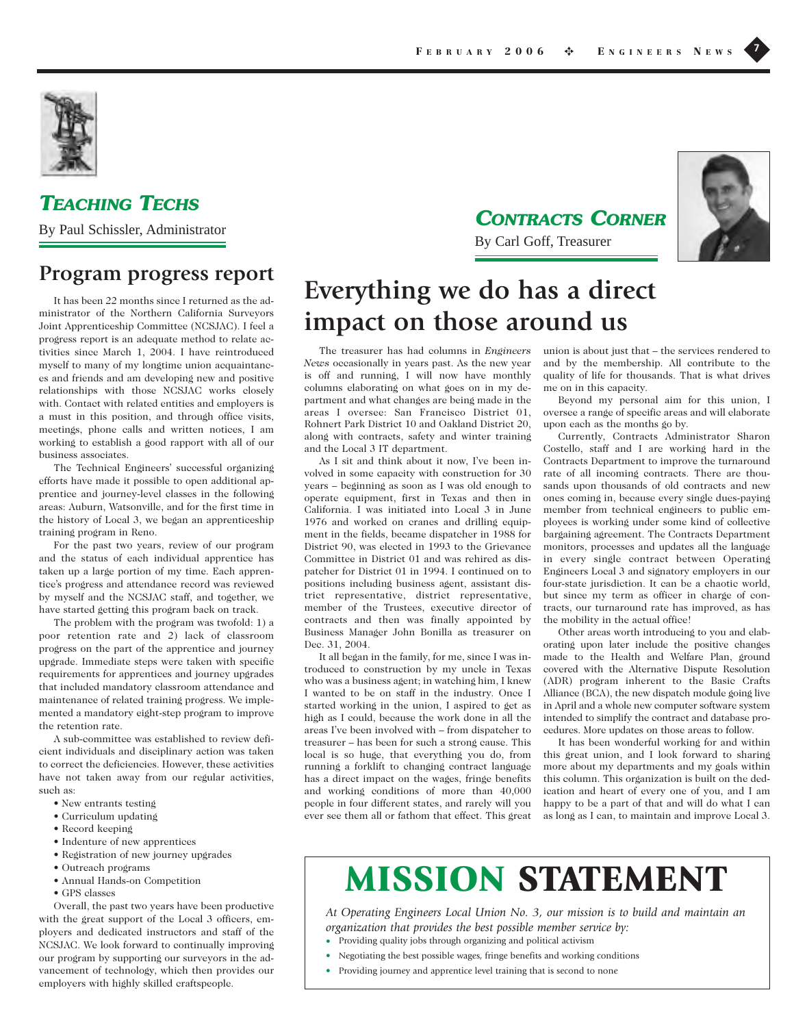

## **TEACHING TECHS**

By Paul Schissler, Administrator

## **Program progress report**

It has been 22 months since I returned as the administrator of the Northern California Surveyors Joint Apprenticeship Committee (NCSJAC). I feel a progress report is an adequate method to relate activities since March 1, 2004. I have reintroduced myself to many of my longtime union acquaintances and friends and am developing new and positive relationships with those NCSJAC works closely with. Contact with related entities and employers is a must in this position, and through office visits, meetings, phone calls and written notices, I am working to establish a good rapport with all of our business associates.

The Technical Engineers' successful organizing efforts have made it possible to open additional apprentice and journey-level classes in the following areas: Auburn, Watsonville, and for the first time in the history of Local 3, we began an apprenticeship training program in Reno.

For the past two years, review of our program and the status of each individual apprentice has taken up a large portion of my time. Each apprentice's progress and attendance record was reviewed by myself and the NCSJAC staff, and together, we have started getting this program back on track.

The problem with the program was twofold: 1) a poor retention rate and 2) lack of classroom progress on the part of the apprentice and journey upgrade. Immediate steps were taken with specific requirements for apprentices and journey upgrades that included mandatory classroom attendance and maintenance of related training progress. We implemented a mandatory eight-step program to improve the retention rate.

A sub-committee was established to review deficient individuals and disciplinary action was taken to correct the deficiencies. However, these activities have not taken away from our regular activities, such as:

- New entrants testing
- Curriculum updating
- Record keeping
- Indenture of new apprentices
- Registration of new journey upgrades
- Outreach programs
- Annual Hands-on Competition
- GPS classes

Overall, the past two years have been productive with the great support of the Local 3 officers, employers and dedicated instructors and staff of the NCSJAC. We look forward to continually improving our program by supporting our surveyors in the advancement of technology, which then provides our employers with highly skilled craftspeople.

**CONTRACTS CORNER**



By Carl Goff, Treasurer

# **Everything we do has a direct impact on those around us**

The treasurer has had columns in *Engineers News* occasionally in years past. As the new year is off and running, I will now have monthly columns elaborating on what goes on in my department and what changes are being made in the areas I oversee: San Francisco District 01, Rohnert Park District 10 and Oakland District 20, along with contracts, safety and winter training and the Local 3 IT department.

As I sit and think about it now, I've been involved in some capacity with construction for 30 years – beginning as soon as I was old enough to operate equipment, first in Texas and then in California. I was initiated into Local 3 in June 1976 and worked on cranes and drilling equipment in the fields, became dispatcher in 1988 for District 90, was elected in 1993 to the Grievance Committee in District 01 and was rehired as dispatcher for District 01 in 1994. I continued on to positions including business agent, assistant district representative, district representative, member of the Trustees, executive director of contracts and then was finally appointed by Business Manager John Bonilla as treasurer on Dec. 31, 2004.

It all began in the family, for me, since I was introduced to construction by my uncle in Texas who was a business agent; in watching him, I knew I wanted to be on staff in the industry. Once I started working in the union, I aspired to get as high as I could, because the work done in all the areas I've been involved with – from dispatcher to treasurer – has been for such a strong cause. This local is so huge, that everything you do, from running a forklift to changing contract language has a direct impact on the wages, fringe benefits and working conditions of more than 40,000 people in four different states, and rarely will you ever see them all or fathom that effect. This great union is about just that – the services rendered to and by the membership. All contribute to the quality of life for thousands. That is what drives me on in this capacity.

Beyond my personal aim for this union, I oversee a range of specific areas and will elaborate upon each as the months go by.

Currently, Contracts Administrator Sharon Costello, staff and I are working hard in the Contracts Department to improve the turnaround rate of all incoming contracts. There are thousands upon thousands of old contracts and new ones coming in, because every single dues-paying member from technical engineers to public employees is working under some kind of collective bargaining agreement. The Contracts Department monitors, processes and updates all the language in every single contract between Operating Engineers Local 3 and signatory employers in our four-state jurisdiction. It can be a chaotic world, but since my term as officer in charge of contracts, our turnaround rate has improved, as has the mobility in the actual office!

Other areas worth introducing to you and elaborating upon later include the positive changes made to the Health and Welfare Plan, ground covered with the Alternative Dispute Resolution (ADR) program inherent to the Basic Crafts Alliance (BCA), the new dispatch module going live in April and a whole new computer software system intended to simplify the contract and database procedures. More updates on those areas to follow.

It has been wonderful working for and within this great union, and I look forward to sharing more about my departments and my goals within this column. This organization is built on the dedication and heart of every one of you, and I am happy to be a part of that and will do what I can as long as I can, to maintain and improve Local 3.

# **MISSION STATEMENT**

*At Operating Engineers Local Union No. 3, our mission is to build and maintain an organization that provides the best possible member service by:*

- **•** Providing quality jobs through organizing and political activism
- **•** Negotiating the best possible wages, fringe benefits and working conditions
- **•** Providing journey and apprentice level training that is second to none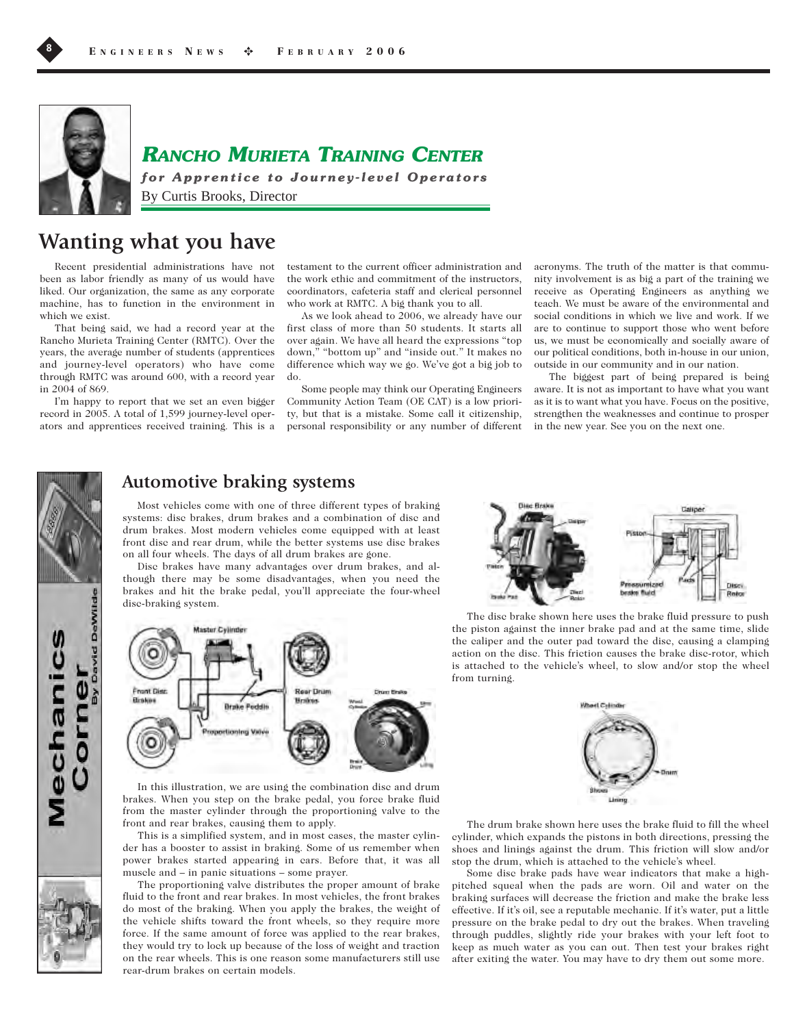

## **RANCHO MURIETA TRAINING CENTER**

**for Apprentice to Journey-level Operators** By Curtis Brooks, Director

# **Wanting what you have**

Recent presidential administrations have not been as labor friendly as many of us would have liked. Our organization, the same as any corporate machine, has to function in the environment in which we exist.

That being said, we had a record year at the Rancho Murieta Training Center (RMTC). Over the years, the average number of students (apprentices and journey-level operators) who have come through RMTC was around 600, with a record year in 2004 of 869.

I'm happy to report that we set an even bigger record in 2005. A total of 1,599 journey-level operators and apprentices received training. This is a

testament to the current officer administration and the work ethic and commitment of the instructors, coordinators, cafeteria staff and clerical personnel who work at RMTC. A big thank you to all.

As we look ahead to 2006, we already have our first class of more than 50 students. It starts all over again. We have all heard the expressions "top down," "bottom up" and "inside out." It makes no difference which way we go. We've got a big job to do.

Some people may think our Operating Engineers Community Action Team (OE CAT) is a low priority, but that is a mistake. Some call it citizenship, personal responsibility or any number of different acronyms. The truth of the matter is that community involvement is as big a part of the training we receive as Operating Engineers as anything we teach. We must be aware of the environmental and social conditions in which we live and work. If we are to continue to support those who went before us, we must be economically and socially aware of our political conditions, both in-house in our union, outside in our community and in our nation.

The biggest part of being prepared is being aware. It is not as important to have what you want as it is to want what you have. Focus on the positive, strengthen the weaknesses and continue to prosper in the new year. See you on the next one.



## **Automotive braking systems**

Most vehicles come with one of three different types of braking systems: disc brakes, drum brakes and a combination of disc and drum brakes. Most modern vehicles come equipped with at least front disc and rear drum, while the better systems use disc brakes on all four wheels. The days of all drum brakes are gone.

Disc brakes have many advantages over drum brakes, and although there may be some disadvantages, when you need the brakes and hit the brake pedal, you'll appreciate the four-wheel disc-braking system.



In this illustration, we are using the combination disc and drum brakes. When you step on the brake pedal, you force brake fluid from the master cylinder through the proportioning valve to the front and rear brakes, causing them to apply.

This is a simplified system, and in most cases, the master cylinder has a booster to assist in braking. Some of us remember when power brakes started appearing in cars. Before that, it was all muscle and – in panic situations – some prayer.





The disc brake shown here uses the brake fluid pressure to push the piston against the inner brake pad and at the same time, slide the caliper and the outer pad toward the disc, causing a clamping action on the disc. This friction causes the brake disc-rotor, which is attached to the vehicle's wheel, to slow and/or stop the wheel from turning.



The drum brake shown here uses the brake fluid to fill the wheel cylinder, which expands the pistons in both directions, pressing the shoes and linings against the drum. This friction will slow and/or stop the drum, which is attached to the vehicle's wheel.

Some disc brake pads have wear indicators that make a highpitched squeal when the pads are worn. Oil and water on the braking surfaces will decrease the friction and make the brake less effective. If it's oil, see a reputable mechanic. If it's water, put a little pressure on the brake pedal to dry out the brakes. When traveling through puddles, slightly ride your brakes with your left foot to keep as much water as you can out. Then test your brakes right after exiting the water. You may have to dry them out some more.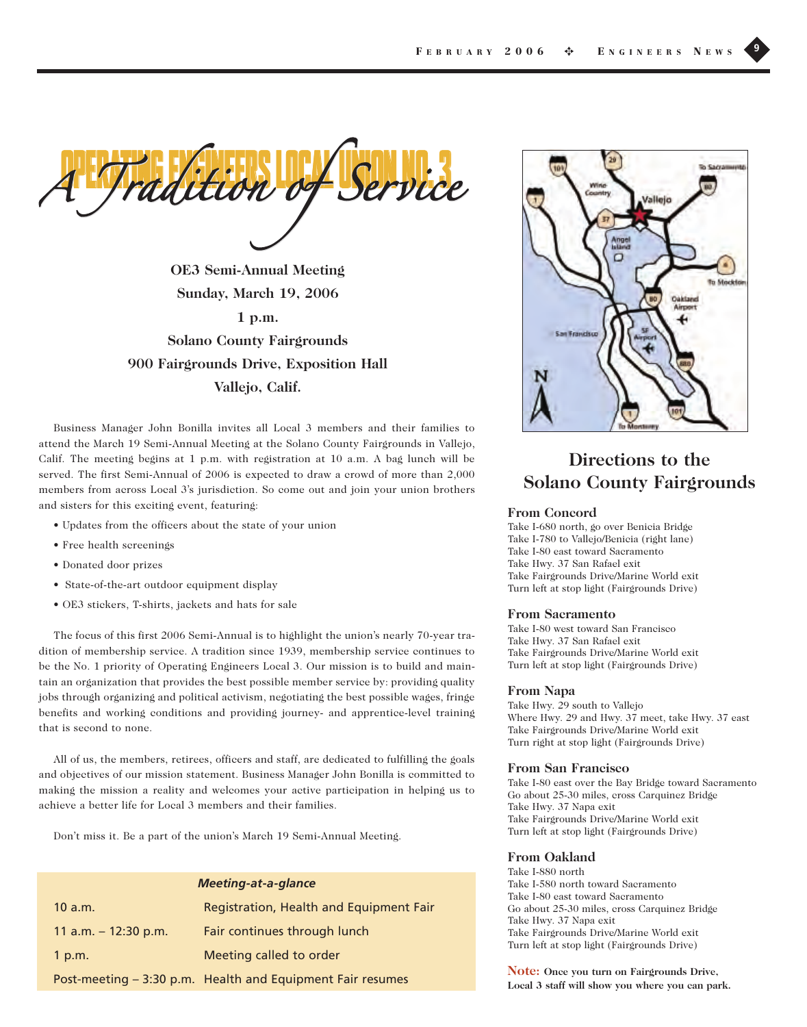adition

**OE3 Semi-Annual Meeting Sunday, March 19, 2006 1 p.m. Solano County Fairgrounds 900 Fairgrounds Drive, Exposition Hall Vallejo, Calif.**

Business Manager John Bonilla invites all Local 3 members and their families to attend the March 19 Semi-Annual Meeting at the Solano County Fairgrounds in Vallejo, Calif. The meeting begins at 1 p.m. with registration at 10 a.m. A bag lunch will be served. The first Semi-Annual of 2006 is expected to draw a crowd of more than 2,000 members from across Local 3's jurisdiction. So come out and join your union brothers and sisters for this exciting event, featuring:

- Updates from the officers about the state of your union
- Free health screenings
- Donated door prizes
- State-of-the-art outdoor equipment display
- OE3 stickers, T-shirts, jackets and hats for sale

The focus of this first 2006 Semi-Annual is to highlight the union's nearly 70-year tradition of membership service. A tradition since 1939, membership service continues to be the No. 1 priority of Operating Engineers Local 3. Our mission is to build and maintain an organization that provides the best possible member service by: providing quality jobs through organizing and political activism, negotiating the best possible wages, fringe benefits and working conditions and providing journey- and apprentice-level training that is second to none.

All of us, the members, retirees, officers and staff, are dedicated to fulfilling the goals and objectives of our mission statement. Business Manager John Bonilla is committed to making the mission a reality and welcomes your active participation in helping us to achieve a better life for Local 3 members and their families.

Don't miss it. Be a part of the union's March 19 Semi-Annual Meeting.

| <b>Meeting-at-a-glance</b> |                                                            |  |
|----------------------------|------------------------------------------------------------|--|
| 10 a.m.                    | Registration, Health and Equipment Fair                    |  |
| 11 a.m. $-$ 12:30 p.m.     | Fair continues through lunch                               |  |
| 1 p.m.                     | Meeting called to order                                    |  |
|                            | Post-meeting - 3:30 p.m. Health and Equipment Fair resumes |  |



## **Directions to the Solano County Fairgrounds**

#### **From Concord**

Take I-680 north, go over Benicia Bridge Take I-780 to Vallejo/Benicia (right lane) Take I-80 east toward Sacramento Take Hwy. 37 San Rafael exit Take Fairgrounds Drive/Marine World exit Turn left at stop light (Fairgrounds Drive)

#### **From Sacramento**

Take I-80 west toward San Francisco Take Hwy. 37 San Rafael exit Take Fairgrounds Drive/Marine World exit Turn left at stop light (Fairgrounds Drive)

#### **From Napa**

Take Hwy. 29 south to Vallejo Where Hwy. 29 and Hwy. 37 meet, take Hwy. 37 east Take Fairgrounds Drive/Marine World exit Turn right at stop light (Fairgrounds Drive)

#### **From San Francisco**

Take I-80 east over the Bay Bridge toward Sacramento Go about 25-30 miles, cross Carquinez Bridge Take Hwy. 37 Napa exit Take Fairgrounds Drive/Marine World exit Turn left at stop light (Fairgrounds Drive)

### **From Oakland**

Take I-880 north Take I-580 north toward Sacramento Take I-80 east toward Sacramento Go about 25-30 miles, cross Carquinez Bridge Take Hwy. 37 Napa exit Take Fairgrounds Drive/Marine World exit Turn left at stop light (Fairgrounds Drive)

**Note: Once you turn on Fairgrounds Drive, Local 3 staff will show you where you can park.**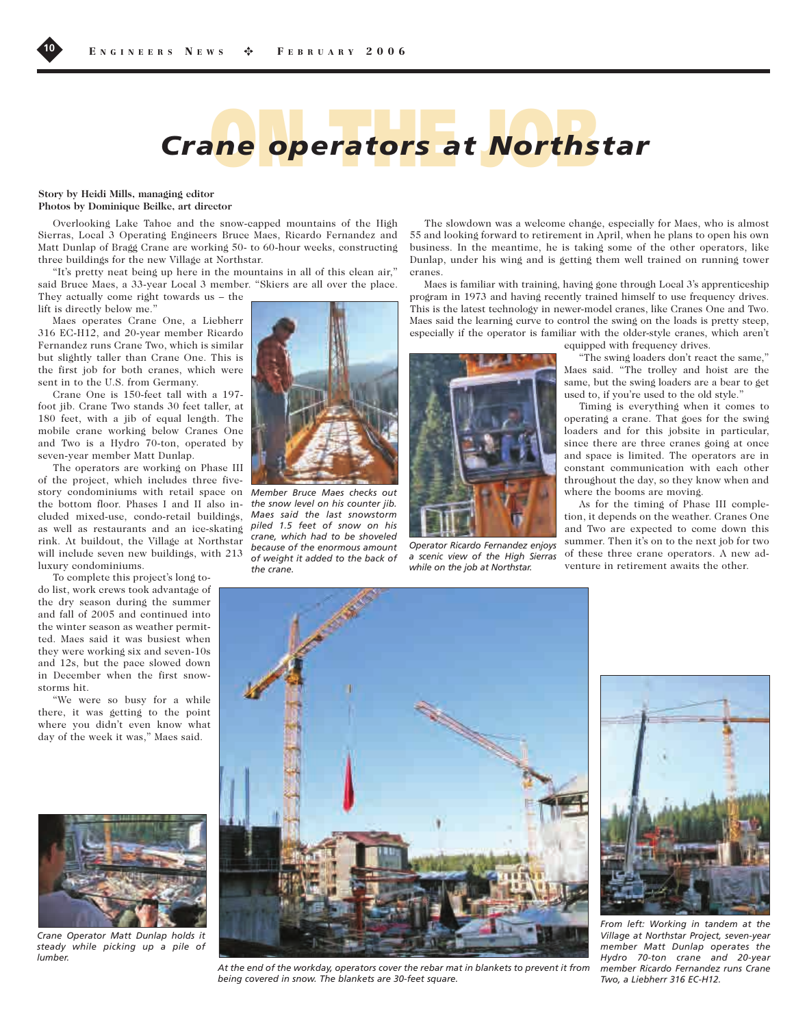

#### **Story by Heidi Mills, managing editor Photos by Dominique Beilke, art director**

Overlooking Lake Tahoe and the snow-capped mountains of the High Sierras, Local 3 Operating Engineers Bruce Maes, Ricardo Fernandez and Matt Dunlap of Bragg Crane are working 50- to 60-hour weeks, constructing three buildings for the new Village at Northstar.

"It's pretty neat being up here in the mountains in all of this clean air," said Bruce Maes, a 33-year Local 3 member. "Skiers are all over the place. They actually come right towards us – the

lift is directly below me."

Maes operates Crane One, a Liebherr 316 EC-H12, and 20-year member Ricardo Fernandez runs Crane Two, which is similar but slightly taller than Crane One. This is the first job for both cranes, which were sent in to the U.S. from Germany.

Crane One is 150-feet tall with a 197 foot jib. Crane Two stands 30 feet taller, at 180 feet, with a jib of equal length. The mobile crane working below Cranes One and Two is a Hydro 70-ton, operated by seven-year member Matt Dunlap.

The operators are working on Phase III of the project, which includes three fivestory condominiums with retail space on *Member Bruce Maes checks out* the bottom floor. Phases I and II also in-*the snow level on his counter jib.* cluded mixed-use, condo-retail buildings, as well as restaurants and an ice-skating *piled 1.5 feet of snow on his* rink. At buildout, the Village at Northstar will include seven new buildings, with 213 luxury condominiums.

To complete this project's long todo list, work crews took advantage of the dry season during the summer and fall of 2005 and continued into the winter season as weather permitted. Maes said it was busiest when they were working six and seven-10s and 12s, but the pace slowed down in December when the first snowstorms hit.

"We were so busy for a while there, it was getting to the point where you didn't even know what day of the week it was," Maes said.



*Crane Operator Matt Dunlap holds it steady while picking up a pile of lumber.* 



*Maes said the last snowstorm crane, which had to be shoveled because of the enormous amount of weight it added to the back of the crane.*

The slowdown was a welcome change, especially for Maes, who is almost 55 and looking forward to retirement in April, when he plans to open his own business. In the meantime, he is taking some of the other operators, like Dunlap, under his wing and is getting them well trained on running tower cranes.

Maes is familiar with training, having gone through Local 3's apprenticeship program in 1973 and having recently trained himself to use frequency drives. This is the latest technology in newer-model cranes, like Cranes One and Two. Maes said the learning curve to control the swing on the loads is pretty steep, especially if the operator is familiar with the older-style cranes, which aren't



*Operator Ricardo Fernandez enjoys a scenic view of the High Sierras while on the job at Northstar.*

equipped with frequency drives.

"The swing loaders don't react the same," Maes said. "The trolley and hoist are the same, but the swing loaders are a bear to get used to, if you're used to the old style."

Timing is everything when it comes to operating a crane. That goes for the swing loaders and for this jobsite in particular, since there are three cranes going at once and space is limited. The operators are in constant communication with each other throughout the day, so they know when and where the booms are moving.

As for the timing of Phase III completion, it depends on the weather. Cranes One and Two are expected to come down this summer. Then it's on to the next job for two of these three crane operators. A new adventure in retirement awaits the other.



*At the end of the workday, operators cover the rebar mat in blankets to prevent it from being covered in snow. The blankets are 30-feet square.*



*From left: Working in tandem at the Village at Northstar Project, seven-year member Matt Dunlap operates the Hydro 70-ton crane and 20-year member Ricardo Fernandez runs Crane Two, a Liebherr 316 EC-H12.*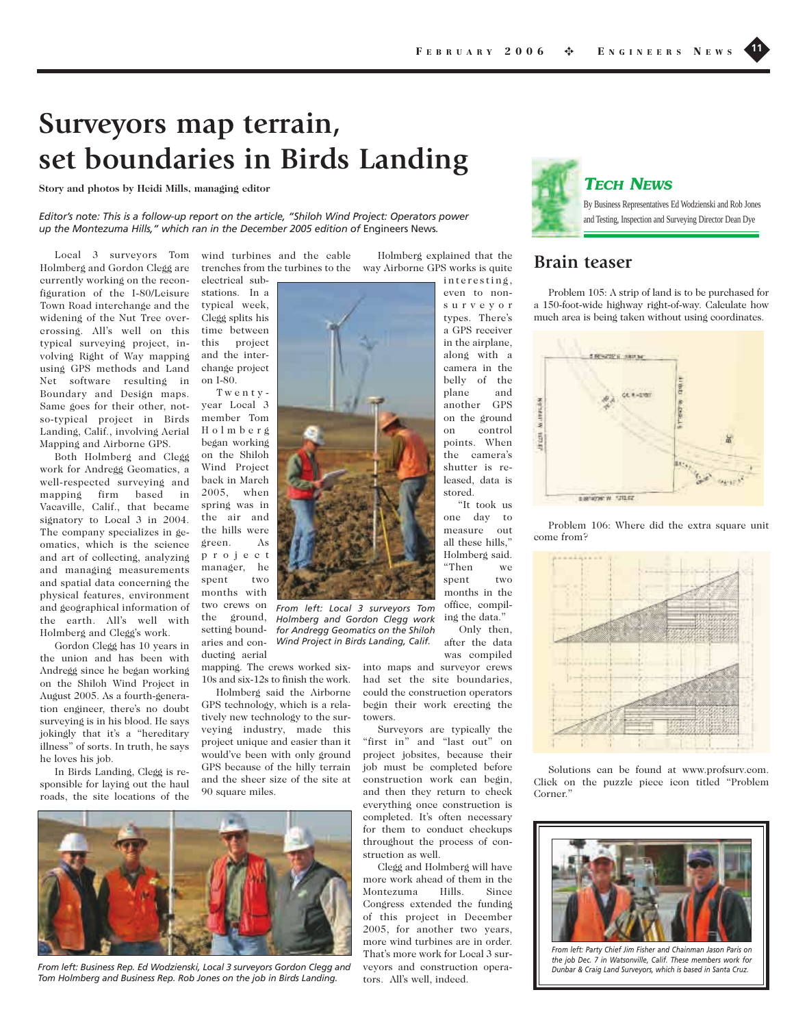# **Surveyors map terrain, set boundaries in Birds Landing**

**Story and photos by Heidi Mills, managing editor**

*Editor's note: This is a follow-up report on the article, "Shiloh Wind Project: Operators power up the Montezuma Hills," which ran in the December 2005 edition of* Engineers News*.*

Local 3 surveyors Tom Holmberg and Gordon Clegg are currently working on the reconfiguration of the I-80/Leisure Town Road interchange and the widening of the Nut Tree overcrossing. All's well on this typical surveying project, involving Right of Way mapping using GPS methods and Land Net software resulting in Boundary and Design maps. Same goes for their other, notso-typical project in Birds Landing, Calif., involving Aerial Mapping and Airborne GPS.

Both Holmberg and Clegg work for Andregg Geomatics, a well-respected surveying and mapping firm based in Vacaville, Calif., that became signatory to Local 3 in 2004. The company specializes in geomatics, which is the science and art of collecting, analyzing and managing measurements and spatial data concerning the physical features, environment and geographical information of the earth. All's well with Holmberg and Clegg's work.

Gordon Clegg has 10 years in the union and has been with Andregg since he began working on the Shiloh Wind Project in August 2005. As a fourth-generation engineer, there's no doubt surveying is in his blood. He says jokingly that it's a "hereditary illness" of sorts. In truth, he says he loves his job.

In Birds Landing, Clegg is responsible for laying out the haul roads, the site locations of the

wind turbines and the cable trenches from the turbines to the

electrical substations. In a typical week, Clegg splits his time between this project and the interchange project on I-80.

Twentyyear Local 3 member Tom Holmberg began working on the Shiloh Wind Project back in March 2005, when spring was in the air and the hills were green. As project manager, he spent two months with two crews on the ground, setting boundaries and conducting aerial

mapping. The crews worked six-10s and six-12s to finish the work.

*From left: Local 3 surveyors Tom*

*for Andregg Geomatics on the Shiloh Wind Project in Birds Landing, Calif.*

Holmberg said the Airborne GPS technology, which is a relatively new technology to the surveying industry, made this project unique and easier than it would've been with only ground GPS because of the hilly terrain and the sheer size of the site at 90 square miles.



even to nonsurveyor types. There's a GPS receiver in the airplane, along with a camera in the belly of the plane and another GPS on the ground on control points. When the camera's shutter is released, data is stored. "It took us

one day to measure out all these hills," Holmberg said. "Then we spent two months in the office, compil-Holmberg and Gordon Clegg work ing the data."

Only then, after the data was compiled

into maps and surveyor crews had set the site boundaries, could the construction operators begin their work erecting the towers.

Surveyors are typically the "first in" and "last out" on project jobsites, because their job must be completed before construction work can begin, and then they return to check everything once construction is completed. It's often necessary for them to conduct checkups throughout the process of construction as well.

Clegg and Holmberg will have more work ahead of them in the Montezuma Hills. Since Congress extended the funding of this project in December 2005, for another two years, more wind turbines are in order. That's more work for Local 3 surveyors and construction operators. All's well, indeed.



## **TECH NEWS**

By Business Representatives Ed Wodzienski and Rob Jones and Testing, Inspection and Surveying Director Dean Dye .

## **Brain teaser**

Problem 105: A strip of land is to be purchased for a 150-foot-wide highway right-of-way. Calculate how much area is being taken without using coordinates.



Problem 106: Where did the extra square unit come from?



Solutions can be found at www.profsurv.com. Click on the puzzle piece icon titled "Problem Corner."



*From left: Party Chief Jim Fisher and Chainman Jason Paris on the job Dec. 7 in Watsonville, Calif. These members work for Dunbar & Craig Land Surveyors, which is based in Santa Cruz.* 



*From left: Business Rep. Ed Wodzienski, Local 3 surveyors Gordon Clegg and Tom Holmberg and Business Rep. Rob Jones on the job in Birds Landing.*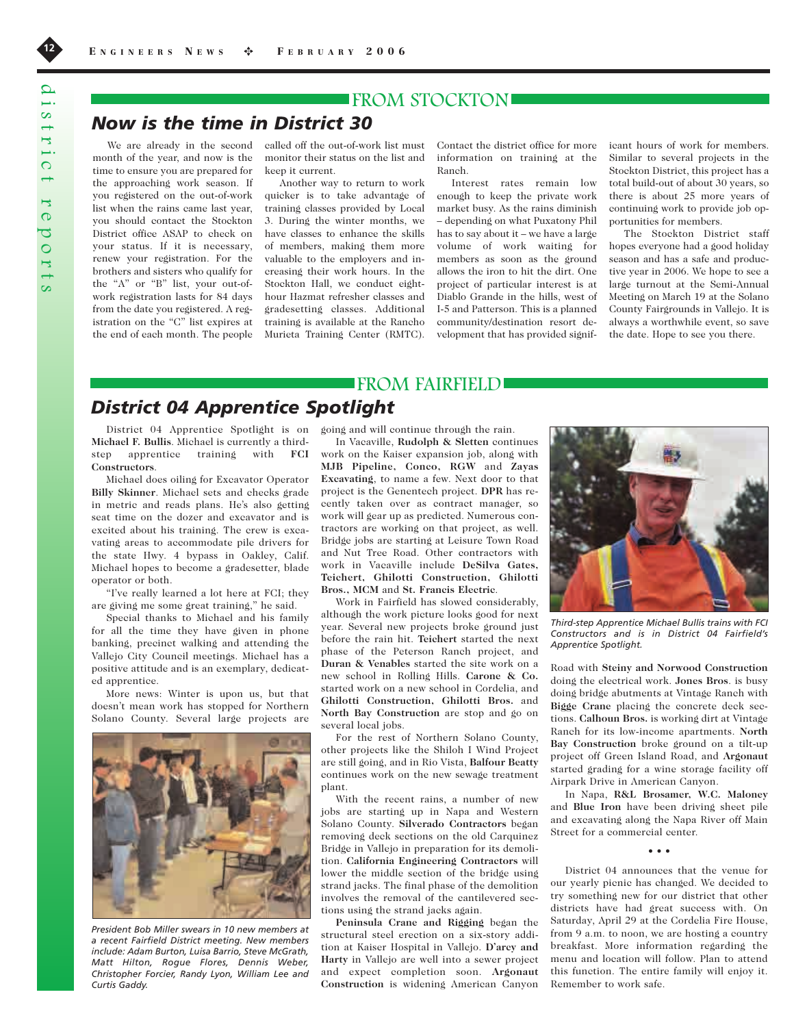## **FROM STOCKTON**

## *Now is the time in District 30*

We are already in the second month of the year, and now is the time to ensure you are prepared for the approaching work season. If you registered on the out-of-work list when the rains came last year, you should contact the Stockton District office ASAP to check on your status. If it is necessary, renew your registration. For the brothers and sisters who qualify for the "A" or "B" list, your out-ofwork registration lasts for 84 days from the date you registered. A registration on the "C" list expires at the end of each month. The people

called off the out-of-work list must monitor their status on the list and keep it current.

Another way to return to work quicker is to take advantage of training classes provided by Local 3. During the winter months, we have classes to enhance the skills of members, making them more valuable to the employers and increasing their work hours. In the Stockton Hall, we conduct eighthour Hazmat refresher classes and gradesetting classes. Additional training is available at the Rancho Murieta Training Center (RMTC).

Contact the district office for more information on training at the Ranch.

Interest rates remain low enough to keep the private work market busy. As the rains diminish – depending on what Puxatony Phil has to say about it – we have a large volume of work waiting for members as soon as the ground allows the iron to hit the dirt. One project of particular interest is at Diablo Grande in the hills, west of I-5 and Patterson. This is a planned community/destination resort development that has provided signif-

icant hours of work for members. Similar to several projects in the Stockton District, this project has a total build-out of about 30 years, so there is about 25 more years of continuing work to provide job opportunities for members.

The Stockton District staff hopes everyone had a good holiday season and has a safe and productive year in 2006. We hope to see a large turnout at the Semi-Annual Meeting on March 19 at the Solano County Fairgrounds in Vallejo. It is always a worthwhile event, so save the date. Hope to see you there.

## FROM FAIRFIELD

## *District 04 Apprentice Spotlight*

**Michael F. Bullis**. Michael is currently a thirdstep apprentice training with **FCI Constructors**.

Michael does oiling for Excavator Operator **Billy Skinner**. Michael sets and checks grade in metric and reads plans. He's also getting seat time on the dozer and excavator and is excited about his training. The crew is excavating areas to accommodate pile drivers for the state Hwy. 4 bypass in Oakley, Calif. Michael hopes to become a gradesetter, blade operator or both.

"I've really learned a lot here at FCI; they are giving me some great training," he said.

Special thanks to Michael and his family for all the time they have given in phone banking, precinct walking and attending the Vallejo City Council meetings. Michael has a positive attitude and is an exemplary, dedicated apprentice.

More news: Winter is upon us, but that doesn't mean work has stopped for Northern Solano County. Several large projects are



*President Bob Miller swears in 10 new members at a recent Fairfield District meeting. New members include: Adam Burton, Luisa Barrio, Steve McGrath, Matt Hilton, Rogue Flores, Dennis Weber, Christopher Forcier, Randy Lyon, William Lee and Curtis Gaddy.*

District 04 Apprentice Spotlight is on going and will continue through the rain.

In Vacaville, **Rudolph & Sletten** continues work on the Kaiser expansion job, along with **MJB Pipeline, Conco, RGW** and **Zayas Excavating**, to name a few. Next door to that project is the Genentech project. **DPR** has recently taken over as contract manager, so work will gear up as predicted. Numerous contractors are working on that project, as well. Bridge jobs are starting at Leisure Town Road and Nut Tree Road. Other contractors with work in Vacaville include **DeSilva Gates, Teichert, Ghilotti Construction, Ghilotti Bros., MCM** and **St. Francis Electric**.

Work in Fairfield has slowed considerably, although the work picture looks good for next year. Several new projects broke ground just before the rain hit. **Teichert** started the next phase of the Peterson Ranch project, and **Duran & Venables** started the site work on a new school in Rolling Hills. **Carone & Co.** started work on a new school in Cordelia, and **Ghilotti Construction, Ghilotti Bros.** and **North Bay Construction** are stop and go on several local jobs.

For the rest of Northern Solano County, other projects like the Shiloh I Wind Project are still going, and in Rio Vista, **Balfour Beatty** continues work on the new sewage treatment plant.

With the recent rains, a number of new jobs are starting up in Napa and Western Solano County. **Silverado Contractors** began removing deck sections on the old Carquinez Bridge in Vallejo in preparation for its demolition. **California Engineering Contractors** will lower the middle section of the bridge using strand jacks. The final phase of the demolition involves the removal of the cantilevered sections using the strand jacks again.

**Peninsula Crane and Rigging** began the structural steel erection on a six-story addition at Kaiser Hospital in Vallejo. **D'arcy and Harty** in Vallejo are well into a sewer project and expect completion soon. **Argonaut Construction** is widening American Canyon



*Third-step Apprentice Michael Bullis trains with FCI Constructors and is in District 04 Fairfield's Apprentice Spotlight.*

Road with **Steiny and Norwood Construction** doing the electrical work. **Jones Bros**. is busy doing bridge abutments at Vintage Ranch with **Bigge Crane** placing the concrete deck sections. **Calhoun Bros.** is working dirt at Vintage Ranch for its low-income apartments. **North Bay Construction** broke ground on a tilt-up project off Green Island Road, and **Argonaut** started grading for a wine storage facility off Airpark Drive in American Canyon.

In Napa, **R&L Brosamer, W.C. Maloney** and **Blue Iron** have been driving sheet pile and excavating along the Napa River off Main Street for a commercial center.

• • •

District 04 announces that the venue for our yearly picnic has changed. We decided to try something new for our district that other districts have had great success with. On Saturday, April 29 at the Cordelia Fire House, from 9 a.m. to noon, we are hosting a country breakfast. More information regarding the menu and location will follow. Plan to attend this function. The entire family will enjoy it. Remember to work safe.

district reports  $1.81$  $\mathbf{r}$  $\overline{O}$  $\overline{L}$  $\sigma$  $\overline{\mathcal{C}}$  $\overline{O}$  $\mathbf{I}$  $\overline{c}$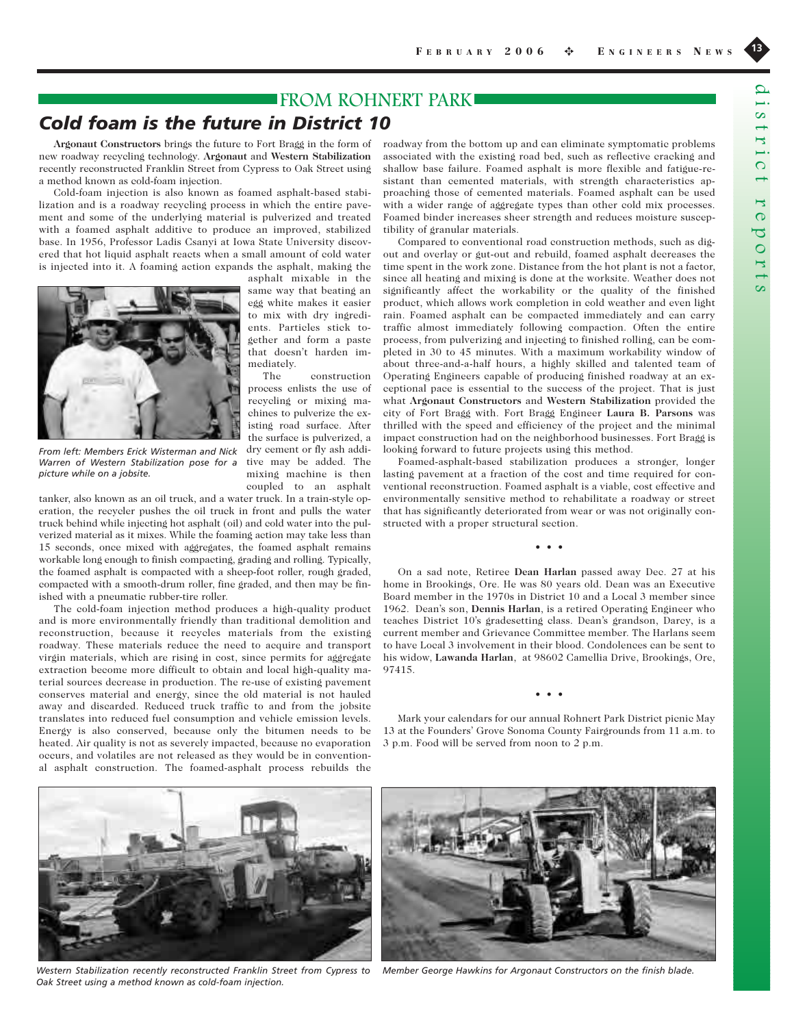## **FROM ROHNERT PARKI**

The construction

tive may be added. The mixing machine is then coupled to an asphalt

## *Cold foam is the future in District 10*

**Argonaut Constructors** brings the future to Fort Bragg in the form of new roadway recycling technology. **Argonaut** and **Western Stabilization** recently reconstructed Franklin Street from Cypress to Oak Street using a method known as cold-foam injection.

Cold-foam injection is also known as foamed asphalt-based stabilization and is a roadway recycling process in which the entire pavement and some of the underlying material is pulverized and treated with a foamed asphalt additive to produce an improved, stabilized base. In 1956, Professor Ladis Csanyi at Iowa State University discovered that hot liquid asphalt reacts when a small amount of cold water is injected into it. A foaming action expands the asphalt, making the



*From left: Members Erick Wisterman and Nick Warren of Western Stabilization pose for a picture while on a jobsite.* 

tanker, also known as an oil truck, and a water truck. In a train-style operation, the recycler pushes the oil truck in front and pulls the water truck behind while injecting hot asphalt (oil) and cold water into the pulverized material as it mixes. While the foaming action may take less than 15 seconds, once mixed with aggregates, the foamed asphalt remains workable long enough to finish compacting, grading and rolling. Typically, the foamed asphalt is compacted with a sheep-foot roller, rough graded, compacted with a smooth-drum roller, fine graded, and then may be finished with a pneumatic rubber-tire roller.

The cold-foam injection method produces a high-quality product and is more environmentally friendly than traditional demolition and reconstruction, because it recycles materials from the existing roadway. These materials reduce the need to acquire and transport virgin materials, which are rising in cost, since permits for aggregate extraction become more difficult to obtain and local high-quality material sources decrease in production. The re-use of existing pavement conserves material and energy, since the old material is not hauled away and discarded. Reduced truck traffic to and from the jobsite translates into reduced fuel consumption and vehicle emission levels. Energy is also conserved, because only the bitumen needs to be heated. Air quality is not as severely impacted, because no evaporation occurs, and volatiles are not released as they would be in conventional asphalt construction. The foamed-asphalt process rebuilds the

roadway from the bottom up and can eliminate symptomatic problems associated with the existing road bed, such as reflective cracking and shallow base failure. Foamed asphalt is more flexible and fatigue-resistant than cemented materials, with strength characteristics approaching those of cemented materials. Foamed asphalt can be used with a wider range of aggregate types than other cold mix processes. Foamed binder increases sheer strength and reduces moisture susceptibility of granular materials.

Compared to conventional road construction methods, such as digout and overlay or gut-out and rebuild, foamed asphalt decreases the time spent in the work zone. Distance from the hot plant is not a factor, since all heating and mixing is done at the worksite. Weather does not significantly affect the workability or the quality of the finished product, which allows work completion in cold weather and even light rain. Foamed asphalt can be compacted immediately and can carry traffic almost immediately following compaction. Often the entire process, from pulverizing and injecting to finished rolling, can be completed in 30 to 45 minutes. With a maximum workability window of about three-and-a-half hours, a highly skilled and talented team of Operating Engineers capable of producing finished roadway at an exceptional pace is essential to the success of the project. That is just what **Argonaut Constructors** and **Western Stabilization** provided the city of Fort Bragg with. Fort Bragg Engineer **Laura B. Parsons** was thrilled with the speed and efficiency of the project and the minimal impact construction had on the neighborhood businesses. Fort Bragg is looking forward to future projects using this method.

Foamed-asphalt-based stabilization produces a stronger, longer lasting pavement at a fraction of the cost and time required for conventional reconstruction. Foamed asphalt is a viable, cost effective and environmentally sensitive method to rehabilitate a roadway or street that has significantly deteriorated from wear or was not originally constructed with a proper structural section.

• • •

On a sad note, Retiree **Dean Harlan** passed away Dec. 27 at his home in Brookings, Ore. He was 80 years old. Dean was an Executive Board member in the 1970s in District 10 and a Local 3 member since 1962. Dean's son, **Dennis Harlan**, is a retired Operating Engineer who teaches District 10's gradesetting class. Dean's grandson, Darcy, is a current member and Grievance Committee member. The Harlans seem to have Local 3 involvement in their blood. Condolences can be sent to his widow, **Lawanda Harlan**, at 98602 Camellia Drive, Brookings, Ore, 97415.

Mark your calendars for our annual Rohnert Park District picnic May 13 at the Founders' Grove Sonoma County Fairgrounds from 11 a.m. to 3 p.m. Food will be served from noon to 2 p.m.

• • •



*Western Stabilization recently reconstructed Franklin Street from Cypress to Member George Hawkins for Argonaut Constructors on the finish blade. Oak Street using a method known as cold-foam injection.*

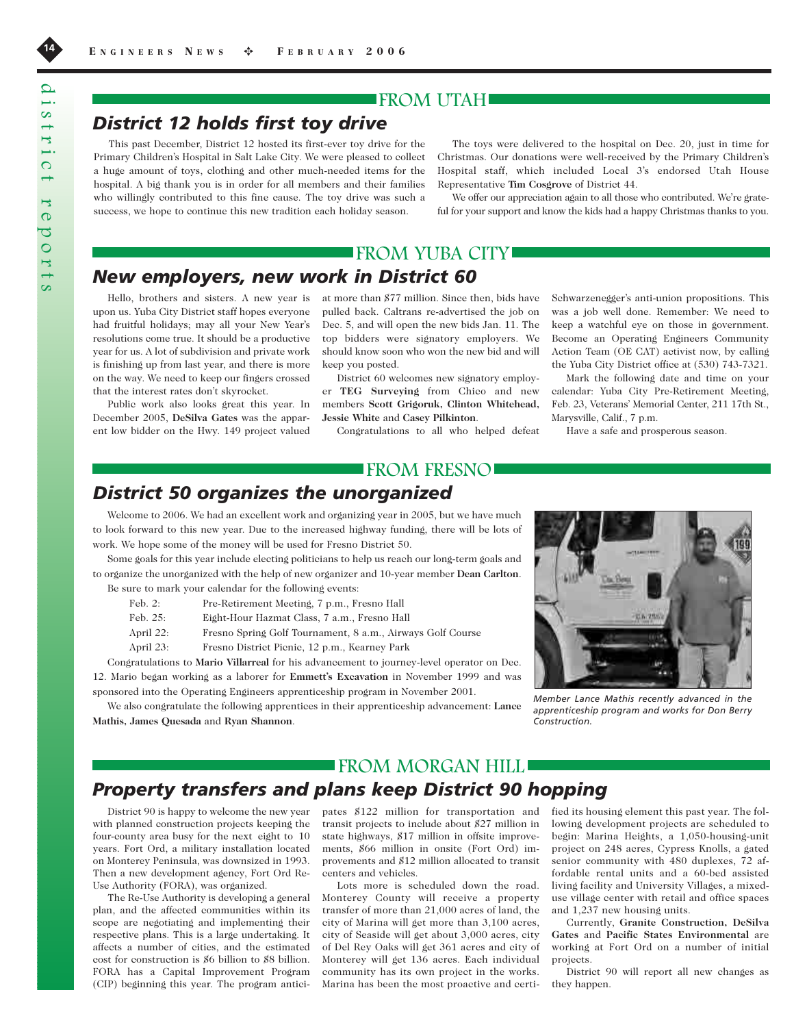## FROM UTAH

## *District 12 holds first toy drive*

This past December, District 12 hosted its first-ever toy drive for the Primary Children's Hospital in Salt Lake City. We were pleased to collect a huge amount of toys, clothing and other much-needed items for the hospital. A big thank you is in order for all members and their families who willingly contributed to this fine cause. The toy drive was such a success, we hope to continue this new tradition each holiday season.

The toys were delivered to the hospital on Dec. 20, just in time for Christmas. Our donations were well-received by the Primary Children's Hospital staff, which included Local 3's endorsed Utah House Representative **Tim Cosgrove** of District 44.

We offer our appreciation again to all those who contributed. We're grateful for your support and know the kids had a happy Christmas thanks to you.

## FROM YUBA CITY

## *New employers, new work in District 60*

Hello, brothers and sisters. A new year is upon us. Yuba City District staff hopes everyone had fruitful holidays; may all your New Year's resolutions come true. It should be a productive year for us. A lot of subdivision and private work is finishing up from last year, and there is more on the way. We need to keep our fingers crossed that the interest rates don't skyrocket.

Public work also looks great this year. In December 2005, **DeSilva Gates** was the apparent low bidder on the Hwy. 149 project valued at more than \$77 million. Since then, bids have pulled back. Caltrans re-advertised the job on Dec. 5, and will open the new bids Jan. 11. The top bidders were signatory employers. We should know soon who won the new bid and will keep you posted.

District 60 welcomes new signatory employer **TEG Surveying** from Chico and new members **Scott Grigoruk, Clinton Whitehead, Jessie White** and **Casey Pilkinton**.

Congratulations to all who helped defeat

Schwarzenegger's anti-union propositions. This was a job well done. Remember: We need to keep a watchful eye on those in government. Become an Operating Engineers Community Action Team (OE CAT) activist now, by calling the Yuba City District office at (530) 743-7321.

Mark the following date and time on your calendar: Yuba City Pre-Retirement Meeting, Feb. 23, Veterans' Memorial Center, 211 17th St., Marysville, Calif., 7 p.m.

Have a safe and prosperous season.

## FROM FRESNO

## *District 50 organizes the unorganized*

Welcome to 2006. We had an excellent work and organizing year in 2005, but we have much to look forward to this new year. Due to the increased highway funding, there will be lots of work. We hope some of the money will be used for Fresno District 50.

Some goals for this year include electing politicians to help us reach our long-term goals and to organize the unorganized with the help of new organizer and 10-year member **Dean Carlton**. Be sure to mark your calendar for the following events:

| Feb. $2:$  | Pre-Retirement Meeting, 7 p.m., Fresno Hall                |
|------------|------------------------------------------------------------|
| Feb. $25:$ | Eight-Hour Hazmat Class, 7 a.m., Fresno Hall               |
| April 22:  | Fresno Spring Golf Tournament, 8 a.m., Airways Golf Course |
| April 23:  | Fresno District Pienic, 12 p.m., Kearney Park              |
|            |                                                            |

Congratulations to **Mario Villarreal** for his advancement to journey-level operator on Dec. 12. Mario began working as a laborer for **Emmett's Excavation** in November 1999 and was sponsored into the Operating Engineers apprenticeship program in November 2001.

We also congratulate the following apprentices in their apprenticeship advancement: **Lance Mathis, James Quesada** and **Ryan Shannon**.



*Member Lance Mathis recently advanced in the apprenticeship program and works for Don Berry Construction.* 

## FROM MORGAN HILL

## *Property transfers and plans keep District 90 hopping*

District 90 is happy to welcome the new year with planned construction projects keeping the four-county area busy for the next eight to 10 years. Fort Ord, a military installation located on Monterey Peninsula, was downsized in 1993. Then a new development agency, Fort Ord Re-Use Authority (FORA), was organized.

The Re-Use Authority is developing a general plan, and the affected communities within its scope are negotiating and implementing their respective plans. This is a large undertaking. It affects a number of cities, and the estimated cost for construction is \$6 billion to \$8 billion. FORA has a Capital Improvement Program (CIP) beginning this year. The program anticipates \$122 million for transportation and transit projects to include about \$27 million in state highways, \$17 million in offsite improvements, \$66 million in onsite (Fort Ord) improvements and \$12 million allocated to transit centers and vehicles.

Lots more is scheduled down the road. Monterey County will receive a property transfer of more than 21,000 acres of land, the city of Marina will get more than 3,100 acres, city of Seaside will get about 3,000 acres, city of Del Rey Oaks will get 361 acres and city of Monterey will get 136 acres. Each individual community has its own project in the works. Marina has been the most proactive and certified its housing element this past year. The following development projects are scheduled to begin: Marina Heights, a 1,050-housing-unit project on 248 acres, Cypress Knolls, a gated senior community with 480 duplexes, 72 affordable rental units and a 60-bed assisted living facility and University Villages, a mixeduse village center with retail and office spaces and 1,237 new housing units.

Currently, **Granite Construction, DeSilva Gates** and **Pacific States Environmental** are working at Fort Ord on a number of initial projects.

District 90 will report all new changes as they happen.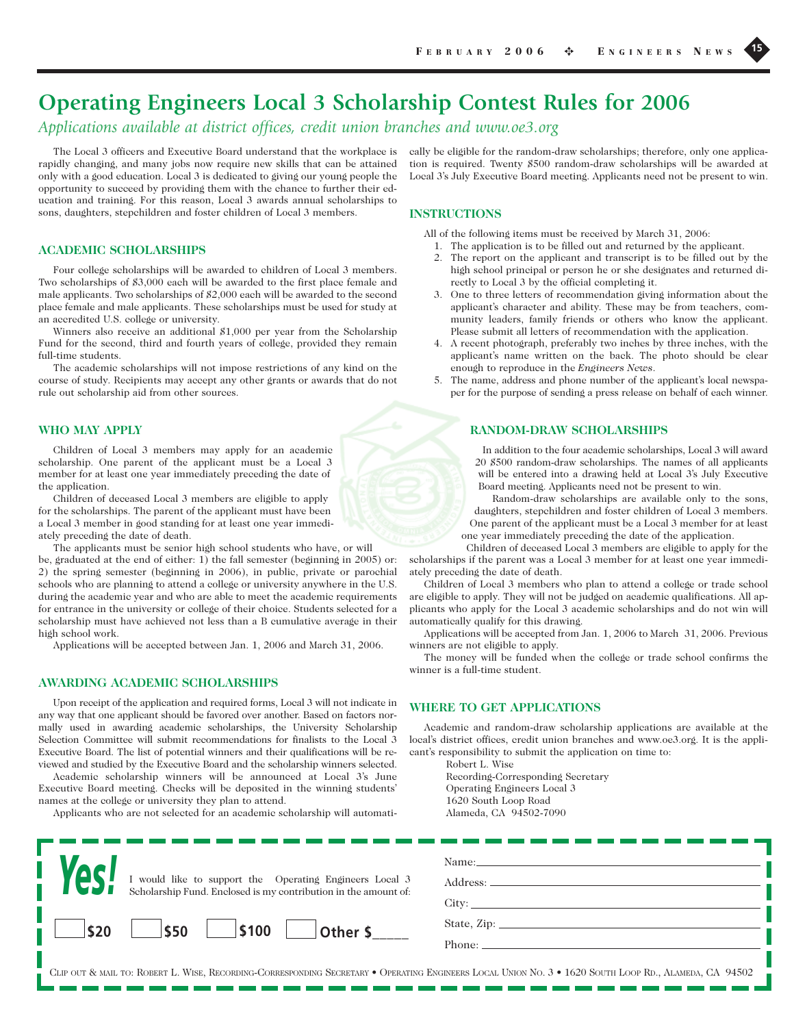# **Operating Engineers Local 3 Scholarship Contest Rules for 2006**

*Applications available at district offices, credit union branches and www.oe3.org*

The Local 3 officers and Executive Board understand that the workplace is rapidly changing, and many jobs now require new skills that can be attained only with a good education. Local 3 is dedicated to giving our young people the opportunity to succeed by providing them with the chance to further their education and training. For this reason, Local 3 awards annual scholarships to sons, daughters, stepchildren and foster children of Local 3 members.

#### **ACADEMIC SCHOLARSHIPS**

Four college scholarships will be awarded to children of Local 3 members. Two scholarships of \$3,000 each will be awarded to the first place female and male applicants. Two scholarships of \$2,000 each will be awarded to the second place female and male applicants. These scholarships must be used for study at an accredited U.S. college or university.

Winners also receive an additional \$1,000 per year from the Scholarship Fund for the second, third and fourth years of college, provided they remain full-time students.

The academic scholarships will not impose restrictions of any kind on the course of study. Recipients may accept any other grants or awards that do not rule out scholarship aid from other sources.

#### **WHO MAY APPLY**

Children of Local 3 members may apply for an academic scholarship. One parent of the applicant must be a Local 3 member for at least one year immediately preceding the date of the application.

Children of deceased Local 3 members are eligible to apply for the scholarships. The parent of the applicant must have been a Local 3 member in good standing for at least one year immediately preceding the date of death.

The applicants must be senior high school students who have, or will be, graduated at the end of either: 1) the fall semester (beginning in 2005) or: 2) the spring semester (beginning in 2006), in public, private or parochial schools who are planning to attend a college or university anywhere in the U.S. during the academic year and who are able to meet the academic requirements for entrance in the university or college of their choice. Students selected for a scholarship must have achieved not less than a B cumulative average in their high school work.

Applications will be accepted between Jan. 1, 2006 and March 31, 2006.

## **AWARDING ACADEMIC SCHOLARSHIPS**

Upon receipt of the application and required forms, Local 3 will not indicate in any way that one applicant should be favored over another. Based on factors normally used in awarding academic scholarships, the University Scholarship Selection Committee will submit recommendations for finalists to the Local 3 Executive Board. The list of potential winners and their qualifications will be reviewed and studied by the Executive Board and the scholarship winners selected.

Academic scholarship winners will be announced at Local 3's June Executive Board meeting. Checks will be deposited in the winning students' names at the college or university they plan to attend.

Applicants who are not selected for an academic scholarship will automati-

cally be eligible for the random-draw scholarships; therefore, only one application is required. Twenty \$500 random-draw scholarships will be awarded at Local 3's July Executive Board meeting. Applicants need not be present to win.

### **INSTRUCTIONS**

All of the following items must be received by March 31, 2006:

- 1. The application is to be filled out and returned by the applicant. 2. The report on the applicant and transcript is to be filled out by the high school principal or person he or she designates and returned directly to Local 3 by the official completing it.
- 3. One to three letters of recommendation giving information about the applicant's character and ability. These may be from teachers, community leaders, family friends or others who know the applicant. Please submit all letters of recommendation with the application.
- 4. A recent photograph, preferably two inches by three inches, with the applicant's name written on the back. The photo should be clear enough to reproduce in the *Engineers News*.
- 5. The name, address and phone number of the applicant's local newspaper for the purpose of sending a press release on behalf of each winner.

## **RANDOM-DRAW SCHOLARSHIPS**

In addition to the four academic scholarships, Local 3 will award 20 \$500 random-draw scholarships. The names of all applicants will be entered into a drawing held at Local 3's July Executive Board meeting. Applicants need not be present to win.

Random-draw scholarships are available only to the sons, daughters, stepchildren and foster children of Local 3 members. One parent of the applicant must be a Local 3 member for at least one year immediately preceding the date of the application.

Children of deceased Local 3 members are eligible to apply for the scholarships if the parent was a Local 3 member for at least one year immediately preceding the date of death.

Children of Local 3 members who plan to attend a college or trade school are eligible to apply. They will not be judged on academic qualifications. All applicants who apply for the Local 3 academic scholarships and do not win will automatically qualify for this drawing.

Applications will be accepted from Jan. 1, 2006 to March 31, 2006. Previous winners are not eligible to apply.

The money will be funded when the college or trade school confirms the winner is a full-time student.

### **WHERE TO GET APPLICATIONS**

Academic and random-draw scholarship applications are available at the local's district offices, credit union branches and www.oe3.org. It is the applicant's responsibility to submit the application on time to:

Robert L. Wise

Recording-Corresponding Secretary Operating Engineers Local 3 1620 South Loop Road Alameda, CA 94502-7090

| <b>Yes!</b><br>I would like to support the Operating Engineers Local 3<br>Scholarship Fund. Enclosed is my contribution in the amount of: | Name:<br>Address:<br>City: |
|-------------------------------------------------------------------------------------------------------------------------------------------|----------------------------|
| \$100<br>\$50<br>\$20<br>Other \$                                                                                                         | Phone:                     |

CLIP OUT & MAIL TO: ROBERT L. WISE, RECORDING-CORRESPONDING SECRETARY • OPERATING ENGINEERS LOCAL UNION NO. 3 • 1620 SOUTH LOOP RD., ALAMEDA, CA 94502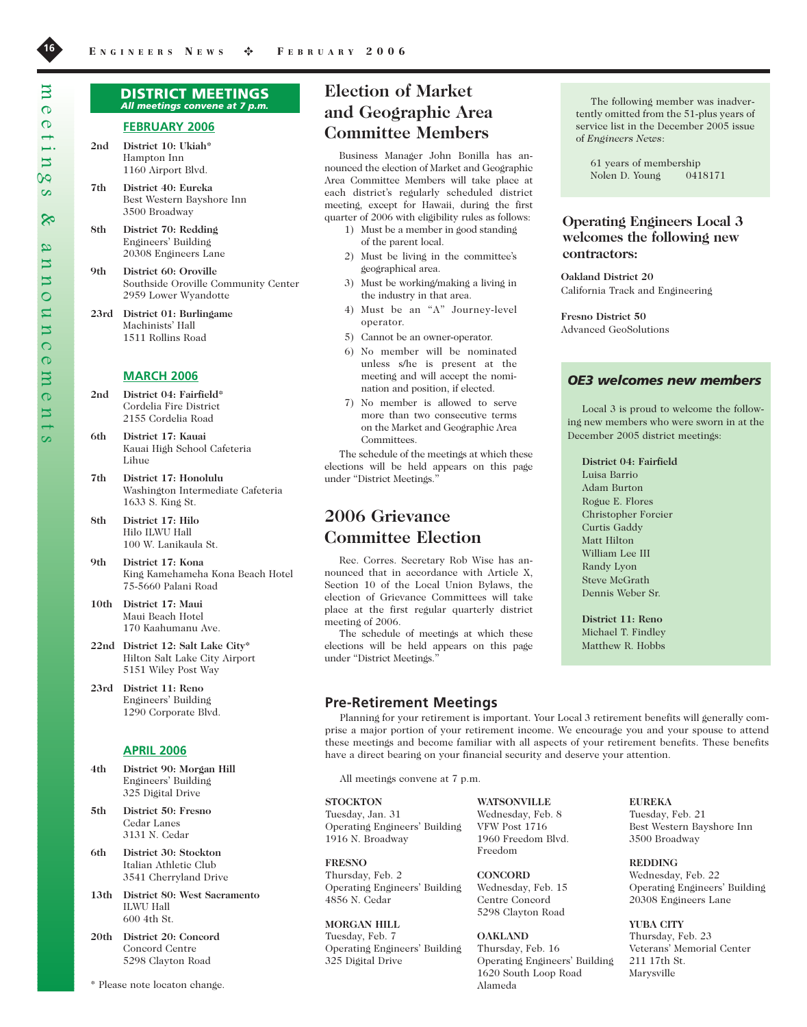#### DISTRICT MEETINGS *All meetings convene at 7 p.m.*

### **FEBRUARY 2006**

- **2nd District 10: Ukiah\*** Hampton Inn 1160 Airport Blvd.
- **7th District 40: Eureka** Best Western Bayshore Inn 3500 Broadway
- **8th District 70: Redding**  Engineers' Building 20308 Engineers Lane
- **9th District 60: Oroville** Southside Oroville Community Center 2959 Lower Wyandotte
- **23rd District 01: Burlingame** Machinists' Hall 1511 Rollins Road

#### **MARCH 2006**

- **2nd District 04: Fairfield\***  Cordelia Fire District 2155 Cordelia Road
- **6th District 17: Kauai** Kauai High School Cafeteria Lihue
- **7th District 17: Honolulu** Washington Intermediate Cafeteria 1633 S. King St.
- **8th District 17: Hilo** Hilo ILWU Hall 100 W. Lanikaula St.
- **9th District 17: Kona** King Kamehameha Kona Beach Hotel 75-5660 Palani Road
- **10th District 17: Maui** Maui Beach Hotel 170 Kaahumanu Ave.
- **22nd District 12: Salt Lake City\*** Hilton Salt Lake City Airport 5151 Wiley Post Way
- **23rd District 11: Reno** Engineers' Building 1290 Corporate Blvd.

## **APRIL 2006**

- **4th District 90: Morgan Hill**  Engineers' Building 325 Digital Drive
- **5th District 50: Fresno**  Cedar Lanes 3131 N. Cedar
- **6th District 30: Stockton**  Italian Athletic Club 3541 Cherryland Drive
- **13th District 80: West Sacramento**  ILWU Hall 600 4th St.
- **20th District 20: Concord**  Concord Centre 5298 Clayton Road
- \* Please note locaton change.

## **Election of Market and Geographic Area Committee Members**

Business Manager John Bonilla has announced the election of Market and Geographic Area Committee Members will take place at each district's regularly scheduled district meeting, except for Hawaii, during the first quarter of 2006 with eligibility rules as follows:

- 1) Must be a member in good standing of the parent local.
- 2) Must be living in the committee's geographical area.
- 3) Must be working/making a living in the industry in that area.
- 4) Must be an "A" Journey-level operator.
- 5) Cannot be an owner-operator.
- 6) No member will be nominated unless s/he is present at the meeting and will accept the nomination and position, if elected.
- 7) No member is allowed to serve more than two consecutive terms on the Market and Geographic Area Committees.

The schedule of the meetings at which these elections will be held appears on this page under "District Meetings."

## **2006 Grievance Committee Election**

Rec. Corres. Secretary Rob Wise has announced that in accordance with Article X, Section 10 of the Local Union Bylaws, the election of Grievance Committees will take place at the first regular quarterly district meeting of 2006.

The schedule of meetings at which these elections will be held appears on this page under "District Meetings."

#### **Pre-Retirement Meetings**

The following member was inadvertently omitted from the 51-plus years of service list in the December 2005 issue of *Engineers News*:

61 years of membership Nolen D. Young 0418171

## **Operating Engineers Local 3 welcomes the following new contractors:**

**Oakland District 20** California Track and Engineering

**Fresno District 50** Advanced GeoSolutions

### *OE3 welcomes new members*

Local 3 is proud to welcome the following new members who were sworn in at the December 2005 district meetings:

#### **District 04: Fairfield**

Luisa Barrio Adam Burton Rogue E. Flores Christopher Forcier Curtis Gaddy Matt Hilton William Lee III Randy Lyon Steve McGrath Dennis Weber Sr.

**District 11: Reno** Michael T. Findley Matthew R. Hobbs

Planning for your retirement is important. Your Local 3 retirement benefits will generally comprise a major portion of your retirement income. We encourage you and your spouse to attend these meetings and become familiar with all aspects of your retirement benefits. These benefits have a direct bearing on your financial security and deserve your attention.

All meetings convene at 7 p.m.

#### **STOCKTON**

Tuesday, Jan. 31 Operating Engineers' Building 1916 N. Broadway

**FRESNO** Thursday, Feb. 2 Operating Engineers' Building 4856 N. Cedar

**MORGAN HILL** Tuesday, Feb. 7 Operating Engineers' Building 325 Digital Drive

**WATSONVILLE** Wednesday, Feb. 8 VFW Post 1716 1960 Freedom Blvd. Freedom

**CONCORD** Wednesday, Feb. 15 Centre Concord 5298 Clayton Road

**OAKLAND** Thursday, Feb. 16 Operating Engineers' Building 1620 South Loop Road Alameda

**EUREKA**

Tuesday, Feb. 21 Best Western Bayshore Inn 3500 Broadway

**REDDING** Wednesday, Feb. 22 Operating Engineers' Building 20308 Engineers Lane

**YUBA CITY** Thursday, Feb. 23 Veterans' Memorial Center 211 17th St. Marysville

 $\overline{\mathbf{C}}$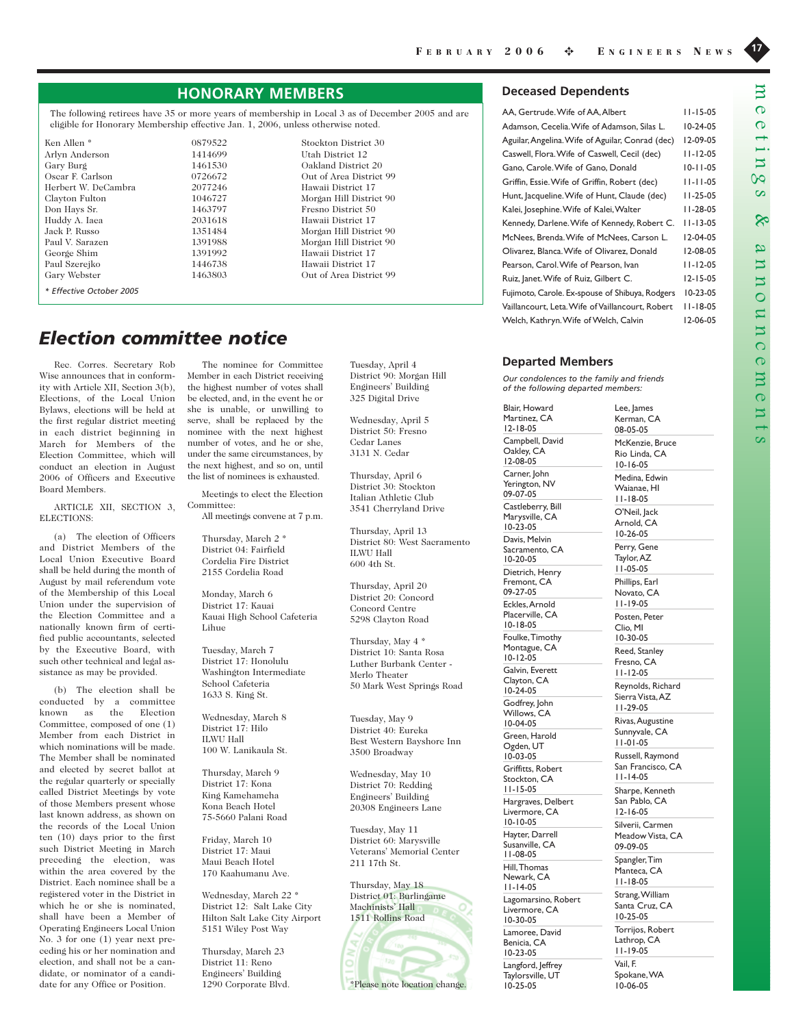## **HONORARY MEMBERS**

The following retirees have 35 or more years of membership in Local 3 as of December 2005 and are eligible for Honorary Membership effective Jan. 1, 2006, unless otherwise noted.

Ken Allen \* 0879522 Stockton District 30 Arlyn Anderson 1414699<br>Gary Burg 1461530 Gary Burg 1461530 Oakland District 20 Herbert W. DeCambra 2077246 Hawaii District 17 Clayton Fulton 1046727 Morgan Hill District 90<br>Don Hays Sr. 1463797 Fresno District 50 Huddy A. Iaea 2031618 Hawaii District 17 Jack P. Russo 1351484 Morgan Hill District 90 Paul V. Sarazen 1391988 Morgan Hill District 90 George Shim 1391992 Hawaii District 17 Paul Szerejko 1446738 Hawaii District 17 Gary Webster **1463803** Out of Area District 99 *\* Effective October 2005*

0726672 Out of Area District 99 Fresno District 50

## *Election committee notice*

Rec. Corres. Secretary Rob Wise announces that in conformity with Article XII, Section 3(b), Elections, of the Local Union Bylaws, elections will be held at the first regular district meeting in each district beginning in March for Members of the Election Committee, which will conduct an election in August 2006 of Officers and Executive Board Members.

ARTICLE XII, SECTION 3, ELECTIONS:

(a) The election of Officers and District Members of the Local Union Executive Board shall be held during the month of August by mail referendum vote of the Membership of this Local Union under the supervision of the Election Committee and a nationally known firm of certified public accountants, selected by the Executive Board, with such other technical and legal assistance as may be provided.

(b) The election shall be conducted by a committee known as the Election Committee, composed of one (1) Member from each District in which nominations will be made. The Member shall be nominated and elected by secret ballot at the regular quarterly or specially called District Meetings by vote of those Members present whose last known address, as shown on the records of the Local Union ten (10) days prior to the first such District Meeting in March preceding the election, was within the area covered by the District. Each nominee shall be a registered voter in the District in which he or she is nominated, shall have been a Member of Operating Engineers Local Union No. 3 for one (1) year next preceding his or her nomination and election, and shall not be a candidate, or nominator of a candidate for any Office or Position.

The nominee for Committee Member in each District receiving the highest number of votes shall be elected, and, in the event he or she is unable, or unwilling to serve, shall be replaced by the nominee with the next highest number of votes, and he or she, under the same circumstances, by the next highest, and so on, until the list of nominees is exhausted.

Meetings to elect the Election Committee:

All meetings convene at 7 p.m.

Thursday, March 2 \* District 04: Fairfield Cordelia Fire District 2155 Cordelia Road

Monday, March 6 District 17: Kauai Kauai High School Cafeteria Lihue

Tuesday, March 7 District 17: Honolulu Washington Intermediate School Cafeteria 1633 S. King St.

Wednesday, March 8 District 17: Hilo ILWU Hall 100 W. Lanikaula St.

Thursday, March 9 District 17: Kona King Kamehameha Kona Beach Hotel 75-5660 Palani Road

Friday, March 10 District 17: Maui Maui Beach Hotel 170 Kaahumanu Ave.

Wednesday, March 22 \* District 12: Salt Lake City Hilton Salt Lake City Airport 5151 Wiley Post Way

Thursday, March 23 District 11: Reno Engineers' Building 1290 Corporate Blvd. Tuesday, April 4 District 90: Morgan Hill Engineers' Building 325 Digital Drive

Wednesday, April 5 District 50: Fresno Cedar Lanes 3131 N. Cedar

Thursday, April 6 District 30: Stockton Italian Athletic Club 3541 Cherryland Drive

Thursday, April 13 District 80: West Sacramento ILWU Hall 600 4th St.

Thursday, April 20 District 20: Concord Concord Centre 5298 Clayton Road

Thursday, May 4 \* District 10: Santa Rosa Luther Burbank Center - Merlo Theater 50 Mark West Springs Road

Tuesday, May 9 District 40: Eureka Best Western Bayshore Inn 3500 Broadway

Wednesday, May 10 District 70: Redding Engineers' Building 20308 Engineers Lane

Tuesday, May 11 District 60: Marysville Veterans' Memorial Center 211 17th St.

Thursday, May 18 District 01: Burlingame Machinists' Hall 1511 Rollins Road



#### \*Please note location change.

#### **Deceased Dependents**

| AA, Gertrude. Wife of AA, Albert                 | $11 - 15 - 05$ |
|--------------------------------------------------|----------------|
| Adamson, Cecelia. Wife of Adamson, Silas L.      | $10-24-05$     |
| Aguilar, Angelina. Wife of Aguilar, Conrad (dec) | 12-09-05       |
| Caswell, Flora. Wife of Caswell, Cecil (dec)     | $11 - 12 - 05$ |
| Gano, Carole. Wife of Gano, Donald               | $10 - 11 - 05$ |
| Griffin, Essie. Wife of Griffin, Robert (dec)    | $11 - 11 - 05$ |
| Hunt, Jacqueline. Wife of Hunt, Claude (dec)     | $11 - 25 - 05$ |
| Kalei, Josephine. Wife of Kalei, Walter          | $11 - 28 - 05$ |
| Kennedy, Darlene. Wife of Kennedy, Robert C.     | $11 - 13 - 05$ |
| McNees, Brenda. Wife of McNees, Carson L.        | $12 - 04 - 05$ |
| Olivarez, Blanca. Wife of Olivarez, Donald       | 12-08-05       |
| Pearson, Carol. Wife of Pearson, Ivan            | II-12-05       |
| Ruiz, Janet. Wife of Ruiz, Gilbert C.            | $12 - 15 - 05$ |
| Fujimoto, Carole. Ex-spouse of Shibuya, Rodgers  | $10 - 23 - 05$ |
| Vaillancourt, Leta. Wife of Vaillancourt, Robert | II-18-05       |
| Welch, Kathryn. Wife of Welch, Calvin            | 12-06-05       |

### **Departed Members**

Blair, Howard

*Our condolences to the family and friends of the following departed members:*

Martinez, CA 12-18-05 Campbell, David Oakley, CA 12-08-05 Carner, John Yerington, NV 09-07-05 Castleberry, Bill Marysville, CA 10-23-05 Davis, Melvin Sacramento, CA 10-20-05 Dietrich, Henry Fremont, CA 09-27-05 Eckles,Arnold Placerville, CA 10-18-05 Foulke,Timothy Montague, CA 10-12-05 Galvin, Everett Clayton, CA 10-24-05 Godfrey, John Willows, CA 10-04-05 Green, Harold Ogden, UT 10-03-05 Griffitts, Robert Stockton, CA 11-15-05 Hargraves, Delbert Livermore, CA 10-10-05 Hayter, Darrell Susanville, CA 11-08-05 Hill,Thomas Newark, CA 11-14-05 Lagomarsino, Robert Livermore, CA 10-30-05 Lamoree, David Benicia, CA 10-23-05 Langford, Jeffrey

Taylorsville, UT 10-25-05

Lee, James Kerman, CA 08-05-05 McKenzie, Bruce Rio Linda, CA 10-16-05 Medina, Edwin Waianae, HI 11-18-05 O'Neil, Jack Arnold, CA 10-26-05 Perry, Gene Taylor,AZ 11-05-05 Phillips, Earl Novato, CA 11-19-05 Posten, Peter Clio, MI 10-30-05 Reed, Stanley Fresno, CA 11-12-05 Reynolds, Richard Sierra Vista,AZ 11-29-05 Rivas,Augustine Sunnyvale, CA 11-01-05 Russell, Raymond San Francisco, CA 11-14-05 Sharpe, Kenneth San Pablo, CA 12-16-05 Silverii, Carmen Meadow Vista, CA 09-09-05 Spangler,Tim Manteca, CA 11-18-05 Strang,William Santa Cruz, CA 10-25-05 Torrijos, Robert Lathrop, CA 11-19-05 Vail, F.

Spokane,WA 10-06-05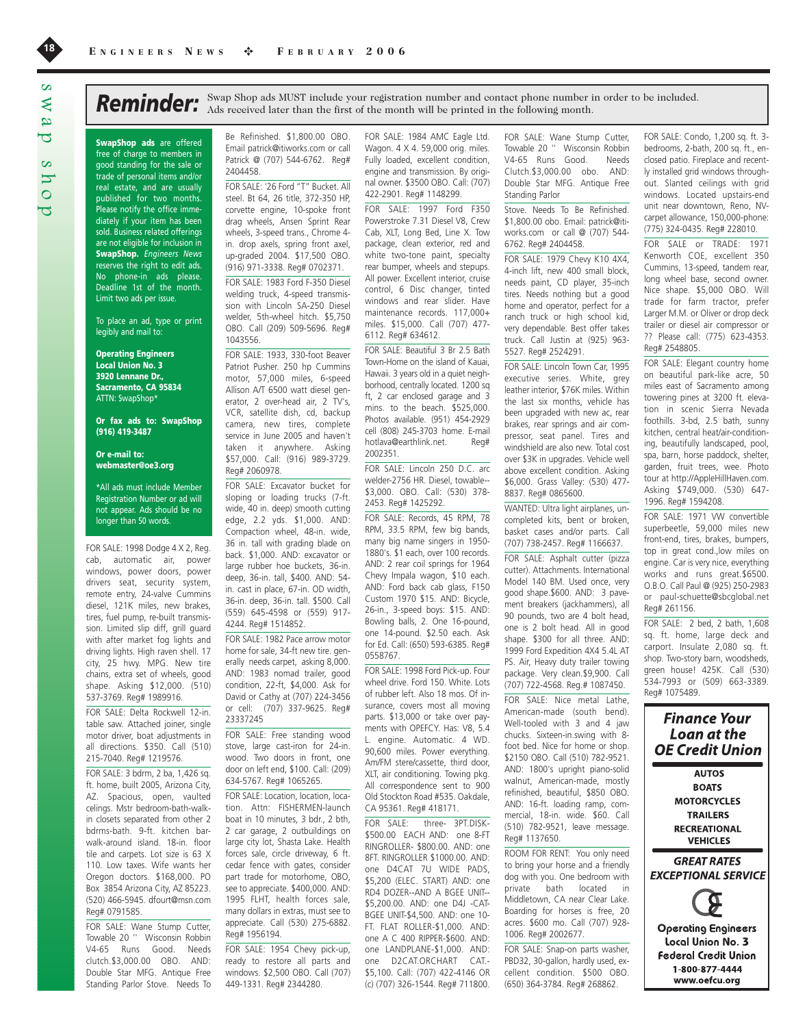SwapShop ads are offered free of charge to members in good standing for the sale or trade of personal items and/or real estate, and are usually published for two months. Please notify the office immediately if your item has been sold. Business related offerings are not eligible for inclusion in SwapShop. *Engineers News* reserves the right to edit ads. No phone-in ads please. Deadline 1st of the month. Limit two ads per issue.

To place an ad, type or print legibly and mail to:

Operating Engineers Local Union No. 3 3920 Lennane Dr., Sacramento, CA 95834 ATTN: SwapShop\*

Or fax ads to: SwapShop (916) 419-3487

Or e-mail to: webmaster@oe3.org

\*All ads must include Member Registration Number or ad will not appear. Ads should be no longer than 50 words.

FOR SALE: 1998 Dodge 4 X 2, Reg. cab, automatic air, power windows, power doors, power drivers seat, security system, remote entry, 24-valve Cummins diesel, 121K miles, new brakes, tires, fuel pump, re-built transmission. Limited slip diff, grill guard with after market fog lights and driving lights. High raven shell. 17 city, 25 hwy. MPG. New tire chains, extra set of wheels, good shape. Asking \$12,000. (510) 537-3769. Reg# 1989916.

FOR SALE: Delta Rockwell 12-in. table saw. Attached joiner, single motor driver, boat adjustments in all directions. \$350. Call (510) 215-7040. Reg# 1219576.

FOR SALE: 3 bdrm, 2 ba, 1,426 sq. ft. home, built 2005, Arizona City, AZ. Spacious, open, vaulted celings. Mstr bedroom-bath-walkin closets separated from other 2 bdrms-bath. 9-ft. kitchen barwalk-around island. 18-in. floor tile and carpets. Lot size is 63 X 110. Low taxes. Wife wants her Oregon doctors. \$168,000. PO Box 3854 Arizona City, AZ 85223. (520) 466-5945. dfourt@msn.com Reg# 0791585.

FOR SALE: Wane Stump Cutter, Towable 20 '' Wisconsin Robbin V4-65 Runs Good. Needs clutch.\$3,000.00 OBO. AND: Double Star MFG. Antique Free Standing Parlor Stove. Needs To

Be Refinished. \$1,800.00 OBO. Email patrick@itiworks.com or call Patrick @ (707) 544-6762. Reg# 2404458.

FOR SALE: '26 Ford "T" Bucket. All steel. Bt 64, 26 title, 372-350 HP, corvette engine, 10-spoke front drag wheels, Ansen Sprint Rear wheels, 3-speed trans., Chrome 4 in. drop axels, spring front axel, up-graded 2004. \$17,500 OBO. (916) 971-3338. Reg# 0702371. FOR SALE: 1983 Ford F-350 Diesel welding truck, 4-speed transmission with Lincoln SA-250 Diesel welder, 5th-wheel hitch. \$5,750 OBO. Call (209) 509-5696. Reg# 1043556.

FOR SALE: 1933, 330-foot Beaver Patriot Pusher. 250 hp Cummins motor, 57,000 miles, 6-speed Allison A/T 6500 watt diesel generator, 2 over-head air, 2 TV's, VCR, satellite dish, cd, backup camera, new tires, complete service in June 2005 and haven't taken it anywhere. Asking \$57,000. Call: (916) 989-3729. Reg# 2060978.

FOR SALE: Excavator bucket for sloping or loading trucks (7-ft. wide, 40 in. deep) smooth cutting edge, 2.2 yds. \$1,000. AND: Compaction wheel, 48-in. wide, 36 in. tall with grading blade on back. \$1,000. AND: excavator or large rubber hoe buckets, 36-in. deep, 36-in. tall, \$400. AND: 54 in. cast in place, 67-in. OD width, 36-in. deep, 36-in. tall. \$500. Call (559) 645-4598 or (559) 917- 4244. Reg# 1514852.

FOR SALE: 1982 Pace arrow motor home for sale, 34-ft new tire. generally needs carpet, asking 8,000. AND: 1983 nomad trailer, good condition, 22-ft, \$4,000. Ask for David or Cathy at (707) 224-3456 or cell: (707) 337-9625. Reg# 23337245

FOR SALE: Free standing wood stove, large cast-iron for 24-in. wood. Two doors in front, one door on left end, \$100. Call: (209) 634-5767. Reg# 1065265.

FOR SALE: Location, location, location. Attn: FISHERMEN-launch boat in 10 minutes, 3 bdr., 2 bth, 2 car garage, 2 outbuildings on large city lot, Shasta Lake. Health forces sale, circle driveway, 6 ft. cedar fence with gates, consider part trade for motorhome, OBO, see to appreciate. \$400,000. AND: 1995 FLHT, health forces sale, many dollars in extras, must see to appreciate. Call (530) 275-6882. Reg# 1956194.

FOR SALE: 1954 Chevy pick-up, ready to restore all parts and windows. \$2,500 OBO. Call (707) 449-1331. Reg# 2344280.

FOR SALE: 1984 AMC Eagle Ltd. Wagon. 4 X 4. 59,000 orig. miles. Fully loaded, excellent condition, engine and transmission. By original owner. \$3500 OBO. Call: (707) 422-2901. Reg# 1148299.

Reminder: Swap Shop ads MUST include your registration number and contact phone number in order to be included. Ads received later than the first of the month will be printed in the following month.

FOR SALE: 1997 Ford F350 Powerstroke 7.31 Diesel V8, Crew Cab, XLT, Long Bed, Line X. Tow package, clean exterior, red and white two-tone paint, specialty rear bumper, wheels and stepups. All power. Excellent interior, cruise control, 6 Disc changer, tinted windows and rear slider. Have maintenance records. 117,000+ miles. \$15,000. Call (707) 477- 6112. Reg# 634612.

FOR SALE: Beautiful 3 Br 2.5 Bath Town-Home on the island of Kauai, Hawaii. 3 years old in a quiet neighborhood, centrally located. 1200 sq ft, 2 car enclosed garage and 3 mins. to the beach. \$525,000. Photos available. (951) 454-2929 cell (808) 245-3703 home. E-mail hotlava@earthlink.net. Reg# 2002351.

FOR SALE: Lincoln 250 D.C. arc welder-2756 HR. Diesel, towable-- \$3,000. OBO. Call: (530) 378- 2453. Reg# 1425292.

FOR SALE: Records, 45 RPM, 78 RPM, 33.5 RPM, few big bands, many big name singers in 1950- 1880's. \$1 each, over 100 records. AND: 2 rear coil springs for 1964 Chevy Impala wagon, \$10 each. AND: Ford back cab glass, F150 Custom 1970 \$15. AND: Bicycle, 26-in., 3-speed boys: \$15. AND: Bowling balls, 2. One 16-pound, one 14-pound. \$2.50 each. Ask for Ed. Call: (650) 593-6385. Reg# 0558767.

FOR SALE: 1998 Ford Pick-up. Four wheel drive. Ford 150. White. Lots of rubber left. Also 18 mos. Of insurance, covers most all moving parts. \$13,000 or take over payments with OPEFCY. Has: V8, 5.4 L. engine. Automatic. 4 WD. 90,600 miles. Power everything. Am/FM stere/cassette, third door, XLT, air conditioning. Towing pkg. All correspondence sent to 900 Old Stockton Road #535. Oakdale, CA 95361. Reg# 418171.

FOR SALE: three- 3PT.DISK-\$500.00 EACH AND: one 8-FT RINGROLLER- \$800.00. AND: one 8FT. RINGROLLER \$1000.00. AND: one D4CAT 7U WIDE PADS, \$5,200 (ELEC. START) AND: one RD4 DOZER--AND A BGEE UNIT-- \$5,200.00. AND: one D4J -CAT-BGEE UNIT-\$4,500. AND: one 10- FT. FLAT ROLLER-\$1,000. AND: one A C 400 RIPPER-\$600. AND: one LANDPLANE-\$1,000. AND: one D2CAT.ORCHART CAT.- \$5,100. Call: (707) 422-4146 OR (c) (707) 326-1544. Reg# 711800.

FOR SALE: Wane Stump Cutter, Towable 20 '' Wisconsin Robbin V4-65 Runs Good. Needs Clutch.\$3,000.00 obo. AND: Double Star MFG. Antique Free Standing Parlor

Stove. Needs To Be Refinished. \$1,800.00 obo. Email: patrick@itiworks.com or call @ (707) 544- 6762. Reg# 2404458.

FOR SALE: 1979 Chevy K10 4X4, 4-inch lift, new 400 small block, needs paint, CD player, 35-inch tires. Needs nothing but a good home and operator, perfect for a ranch truck or high school kid, very dependable. Best offer takes truck. Call Justin at (925) 963- 5527. Reg# 2524291.

FOR SALE: Lincoln Town Car, 1995 executive series. White, grey leather interior, \$76K miles. Within the last six months, vehicle has been upgraded with new ac, rear brakes, rear springs and air compressor, seat panel. Tires and windshield are also new. Total cost over \$3K in upgrades. Vehicle well above excellent condition. Asking \$6,000. Grass Valley: (530) 477- 8837. Reg# 0865600.

WANTED: Ultra light airplanes, uncompleted kits, bent or broken, basket cases and/or parts. Call (707) 738-2457. Reg# 1166637.

FOR SALE: Asphalt cutter (pizza cutter). Attachments. International Model 140 BM. Used once, very good shape.\$600. AND: 3 pavement breakers (jackhammers), all 90 pounds, two are 4 bolt head, one is 2 bolt head. All in good shape. \$300 for all three. AND: 1999 Ford Expedition 4X4 5.4L AT PS. Air, Heavy duty trailer towing package. Very clean.\$9,900. Call (707) 722-4568. Reg.# 1087450.

FOR SALE: Nice metal Lathe, American-made (south bend). Well-tooled with 3 and 4 jaw chucks. Sixteen-in.swing with 8 foot bed. Nice for home or shop. \$2150 OBO. Call (510) 782-9521. AND: 1800's upright piano-solid walnut, American-made, mostly refinished, beautiful, \$850 OBO. AND: 16-ft. loading ramp, commercial, 18-in. wide. \$60. Call (510) 782-9521, leave message. Reg# 1137650.

ROOM FOR RENT: You only need to bring your horse and a friendly dog with you. One bedroom with private bath located in Middletown, CA near Clear Lake. Boarding for horses is free, 20 acres. \$600 mo. Call (707) 928- 1006. Reg# 2002677.

FOR SALE: Snap-on parts washer, PBD32, 30-gallon, hardly used, excellent condition. \$500 OBO. (650) 364-3784. Reg# 268862.

FOR SALE: Condo, 1,200 sq. ft. 3 bedrooms, 2-bath, 200 sq. ft., enclosed patio. Fireplace and recently installed grid windows throughout. Slanted ceilings with grid windows. Located upstairs-end unit near downtown, Reno, NVcarpet allowance, 150,000-phone: (775) 324-0435. Reg# 228010.

FOR SALE or TRADE: 1971 Kenworth COE, excellent 350 Cummins, 13-speed, tandem rear, long wheel base, second owner. Nice shape. \$5,000 OBO. Will trade for farm tractor, prefer Larger M.M. or Oliver or drop deck trailer or diesel air compressor or ?? Please call: (775) 623-4353. Reg# 2548805.

FOR SALE: Elegant country home on beautiful park-like acre, 50 miles east of Sacramento among towering pines at 3200 ft. elevation in scenic Sierra Nevada foothills. 3-bd, 2.5 bath, sunny kitchen, central heat/air-conditioning, beautifully landscaped, pool, spa, barn, horse paddock, shelter, garden, fruit trees, wee. Photo tour at http://AppleHillHaven.com. Asking \$749,000. (530) 647- 1996. Reg# 1594208.

FOR SALE: 1971 VW convertible superbeetle, 59,000 miles new front-end, tires, brakes, bumpers, top in great cond.,low miles on engine. Car is very nice, everything works and runs great.\$6500. O.B.O. Call Paul @ (925) 250-2983 or paul-schuette@sbcglobal.net Reg# 261156.

FOR SALE: 2 bed, 2 bath, 1,608 sq. ft. home, large deck and carport. Insulate 2,080 sq. ft. shop. Two-story barn, woodsheds, green house! 425K. Call (530) 534-7993 or (509) 663-3389. Reg# 1075489.

**Finance Your** Loan at the **OE Credit Union AUTOS BOATS MOTORCYCLES TRAILERS RECREATIONAL VEHICLES GREAT RATES EXCEPTIONAL SERVICE Operating Engineers** Local Union No. 3 **Federal Credit Union** 1-800-877-4444 www.oefcu.org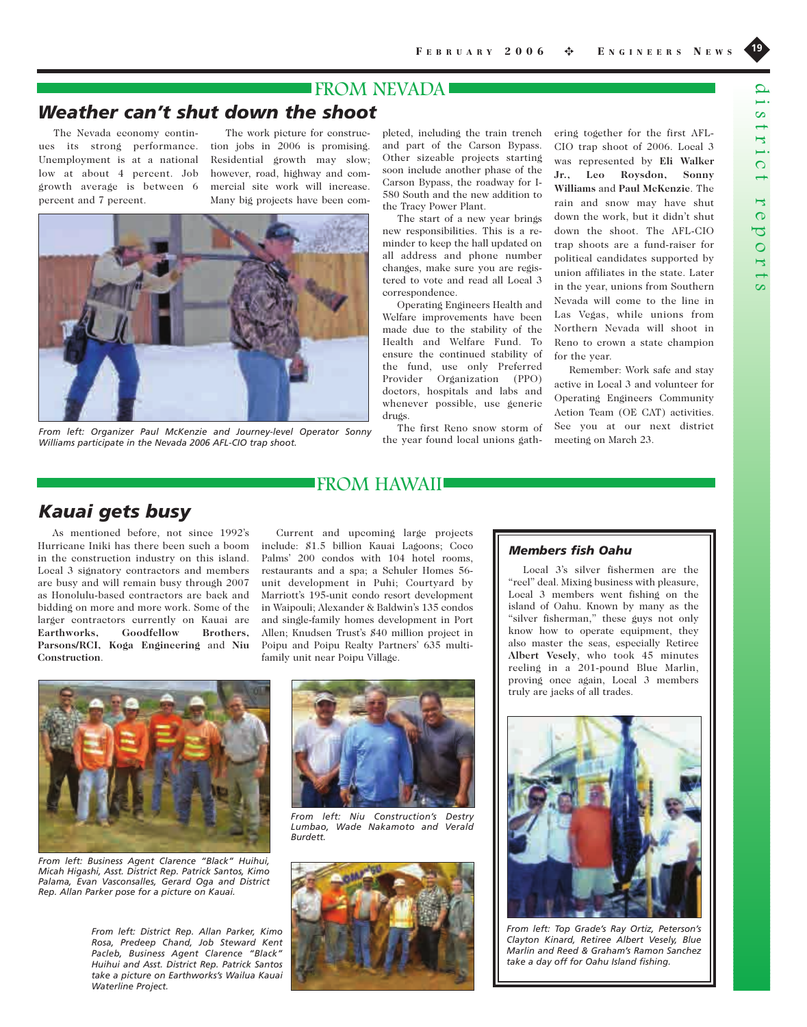## FROM NEVADA

## *Weather can't shut down the shoot*

The Nevada economy continues its strong performance. Unemployment is at a national low at about 4 percent. Job growth average is between 6 percent and 7 percent.

The work picture for construction jobs in 2006 is promising. Residential growth may slow; however, road, highway and commercial site work will increase. Many big projects have been com-



*From left: Organizer Paul McKenzie and Journey-level Operator Sonny Williams participate in the Nevada 2006 AFL-CIO trap shoot.*

pleted, including the train trench and part of the Carson Bypass. Other sizeable projects starting soon include another phase of the Carson Bypass, the roadway for I-580 South and the new addition to the Tracy Power Plant.

The start of a new year brings new responsibilities. This is a reminder to keep the hall updated on all address and phone number changes, make sure you are registered to vote and read all Local 3 correspondence.

Operating Engineers Health and Welfare improvements have been made due to the stability of the Health and Welfare Fund. To ensure the continued stability of the fund, use only Preferred Provider Organization (PPO) doctors, hospitals and labs and whenever possible, use generic drugs.

The first Reno snow storm of the year found local unions gathering together for the first AFL-CIO trap shoot of 2006. Local 3 was represented by **Eli Walker Jr., Leo Roysdon, Sonny Williams** and **Paul McKenzie**. The rain and snow may have shut down the work, but it didn't shut down the shoot. The AFL-CIO trap shoots are a fund-raiser for political candidates supported by union affiliates in the state. Later in the year, unions from Southern Nevada will come to the line in Las Vegas, while unions from Northern Nevada will shoot in Reno to crown a state champion for the year.

Remember: Work safe and stay active in Local 3 and volunteer for Operating Engineers Community Action Team (OE CAT) activities. See you at our next district meeting on March 23.

# *Kauai gets busy*

As mentioned before, not since 1992's Hurricane Iniki has there been such a boom in the construction industry on this island. Local 3 signatory contractors and members are busy and will remain busy through 2007 as Honolulu-based contractors are back and bidding on more and more work. Some of the larger contractors currently on Kauai are **Earthworks, Goodfellow Brothers, Parsons/RCI, Koga Engineering** and **Niu Construction**.

Current and upcoming large projects include: \$1.5 billion Kauai Lagoons; Coco Palms' 200 condos with 104 hotel rooms, restaurants and a spa; a Schuler Homes 56 unit development in Puhi; Courtyard by Marriott's 195-unit condo resort development in Waipouli; Alexander & Baldwin's 135 condos and single-family homes development in Port Allen; Knudsen Trust's \$40 million project in Poipu and Poipu Realty Partners' 635 multifamily unit near Poipu Village.

FROM HAWAII



*From left: Business Agent Clarence "Black" Huihui, Micah Higashi, Asst. District Rep. Patrick Santos, Kimo Palama, Evan Vasconsalles, Gerard Oga and District Rep. Allan Parker pose for a picture on Kauai.*

*From left: District Rep. Allan Parker, Kimo Rosa, Predeep Chand, Job Steward Kent Pacleb, Business Agent Clarence "Black" Huihui and Asst. District Rep. Patrick Santos take a picture on Earthworks's Wailua Kauai Waterline Project.*



*From left: Niu Construction's Destry Lumbao, Wade Nakamoto and Verald Burdett.*



## *Members fish Oahu*

Local 3's silver fishermen are the "reel" deal. Mixing business with pleasure, Local 3 members went fishing on the island of Oahu. Known by many as the "silver fisherman," these guys not only know how to operate equipment, they also master the seas, especially Retiree **Albert Vesely**, who took 45 minutes reeling in a 201-pound Blue Marlin, proving once again, Local 3 members truly are jacks of all trades.



*From left: Top Grade's Ray Ortiz, Peterson's Clayton Kinard, Retiree Albert Vesely, Blue Marlin and Reed & Graham's Ramon Sanchez take a day off for Oahu Island fishing.*